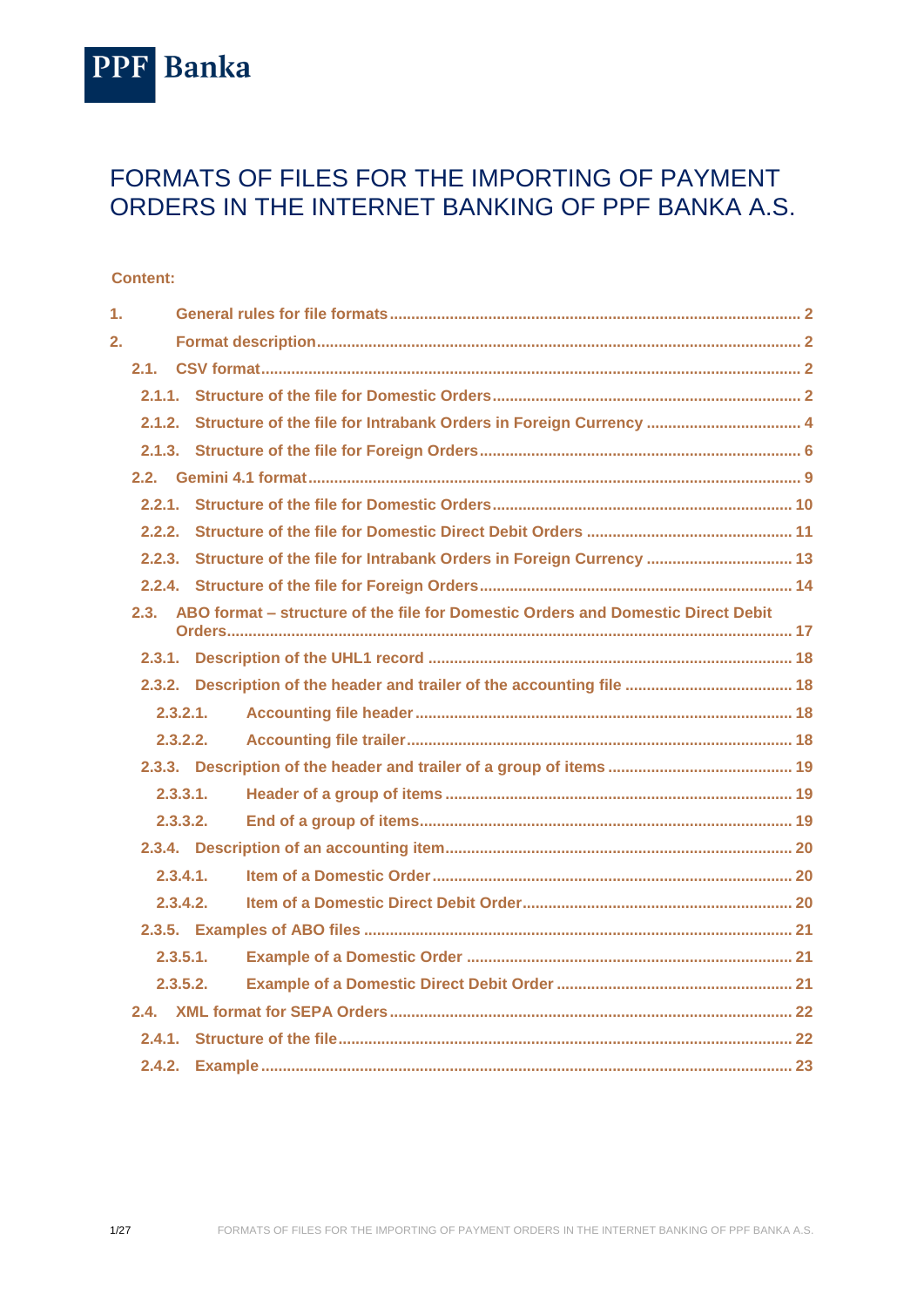

# FORMATS OF FILES FOR THE IMPORTING OF PAYMENT ORDERS IN THE INTERNET BANKING OF PPF BANKA A.S.

#### **Content:**

| 1. |          |                                                                                       |  |  |  |
|----|----------|---------------------------------------------------------------------------------------|--|--|--|
| 2. |          |                                                                                       |  |  |  |
|    | 2.1.     |                                                                                       |  |  |  |
|    |          |                                                                                       |  |  |  |
|    | 2.1.2.   |                                                                                       |  |  |  |
|    |          |                                                                                       |  |  |  |
|    |          |                                                                                       |  |  |  |
|    |          |                                                                                       |  |  |  |
|    |          |                                                                                       |  |  |  |
|    |          |                                                                                       |  |  |  |
|    |          |                                                                                       |  |  |  |
|    |          | 2.3. ABO format – structure of the file for Domestic Orders and Domestic Direct Debit |  |  |  |
|    |          |                                                                                       |  |  |  |
|    |          |                                                                                       |  |  |  |
|    | 2.3.2.1. |                                                                                       |  |  |  |
|    | 2.3.2.2. |                                                                                       |  |  |  |
|    |          |                                                                                       |  |  |  |
|    | 2.3.3.1. |                                                                                       |  |  |  |
|    | 2.3.3.2. |                                                                                       |  |  |  |
|    |          |                                                                                       |  |  |  |
|    | 2.3.4.1. |                                                                                       |  |  |  |
|    | 2.3.4.2. |                                                                                       |  |  |  |
|    |          |                                                                                       |  |  |  |
|    | 2.3.5.1. |                                                                                       |  |  |  |
|    | 2.3.5.2. |                                                                                       |  |  |  |
|    |          |                                                                                       |  |  |  |
|    |          |                                                                                       |  |  |  |
|    |          |                                                                                       |  |  |  |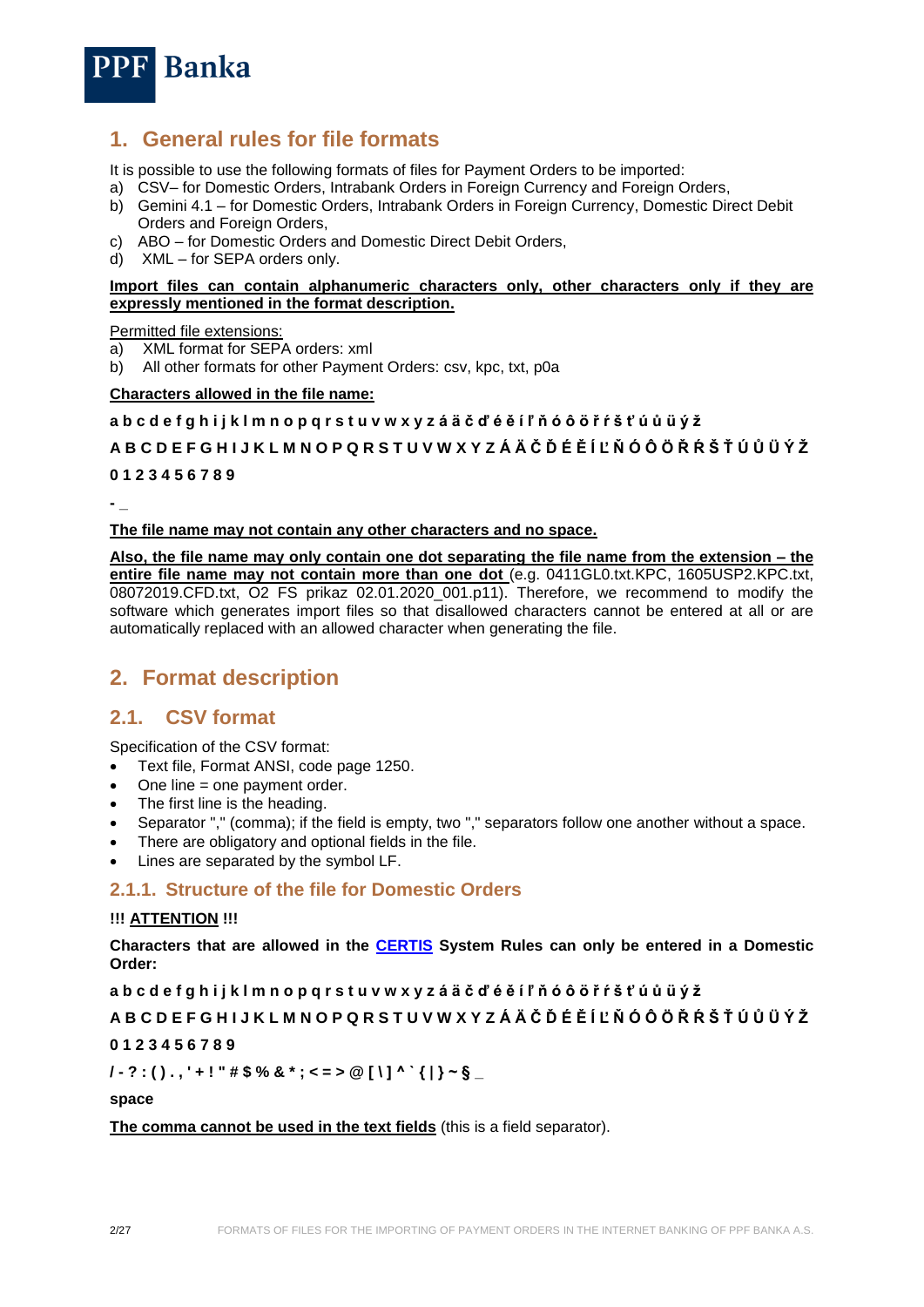

# <span id="page-1-0"></span>**1. General rules for file formats**

It is possible to use the following formats of files for Payment Orders to be imported:

- a) CSV– for Domestic Orders, Intrabank Orders in Foreign Currency and Foreign Orders,
- b) Gemini 4.1 for Domestic Orders, Intrabank Orders in Foreign Currency, Domestic Direct Debit Orders and Foreign Orders,
- c) ABO for Domestic Orders and Domestic Direct Debit Orders,
- d) XML for SEPA orders only.

#### **Import files can contain alphanumeric characters only, other characters only if they are expressly mentioned in the format description.**

Permitted file extensions:

- a) XML format for SEPA orders: xml
- b) All other formats for other Payment Orders: csv, kpc, txt, p0a

#### **Characters allowed in the file name:**

#### **a b c d e f g h i j k l m n o p q r s t u v w x y z á ä č ď é ě í ľ ň ó ô ö ř ŕ š ť ú ů ü ý ž**

#### **A B C D E F G H I J K L M N O P Q R S T U V W X Y Z Á Ä Č Ď É Ě Í Ľ Ň Ó Ô Ö Ř Ŕ Š Ť Ú Ů Ü Ý Ž**

**0 1 2 3 4 5 6 7 8 9**

**- \_**

#### **The file name may not contain any other characters and no space.**

**Also, the file name may only contain one dot separating the file name from the extension – the entire file name may not contain more than one dot** (e.g. 0411GL0.txt.KPC, 1605USP2.KPC.txt, 08072019.CFD.txt, O2 FS prikaz 02.01.2020\_001.p11). Therefore, we recommend to modify the software which generates import files so that disallowed characters cannot be entered at all or are automatically replaced with an allowed character when generating the file.

## <span id="page-1-1"></span>**2. Format description**

## <span id="page-1-2"></span>**2.1. CSV format**

Specification of the CSV format:

- Text file, Format ANSI, code page 1250.
- One line = one payment order.
- The first line is the heading.
- Separator "," (comma); if the field is empty, two "," separators follow one another without a space.
- There are obligatory and optional fields in the file.
- Lines are separated by the symbol LF.

#### <span id="page-1-3"></span>**2.1.1. Structure of the file for Domestic Orders**

#### **!!! ATTENTION !!!**

**Characters that are allowed in the [CERTIS](http://www.cnb.cz/cs/platebni_styk/certis/index.html) System Rules can only be entered in a Domestic Order:**

**a b c d e f g h i j k l m n o p q r s t u v w x y z á ä č ď é ě í ľ ň ó ô ö ř ŕ š ť ú ů ü ý ž**

#### **A B C D E F G H I J K L M N O P Q R S T U V W X Y Z Á Ä Č Ď É Ě Í Ľ Ň Ó Ô Ö Ř Ŕ Š Ť Ú Ů Ü Ý Ž**

#### **0 1 2 3 4 5 6 7 8 9**

**/ - ? : ( ) . , ' + ! " # \$ % & \* ; < = > @ [ \ ] ^ ` { | } ~ § \_**

**space**

**The comma cannot be used in the text fields** (this is a field separator).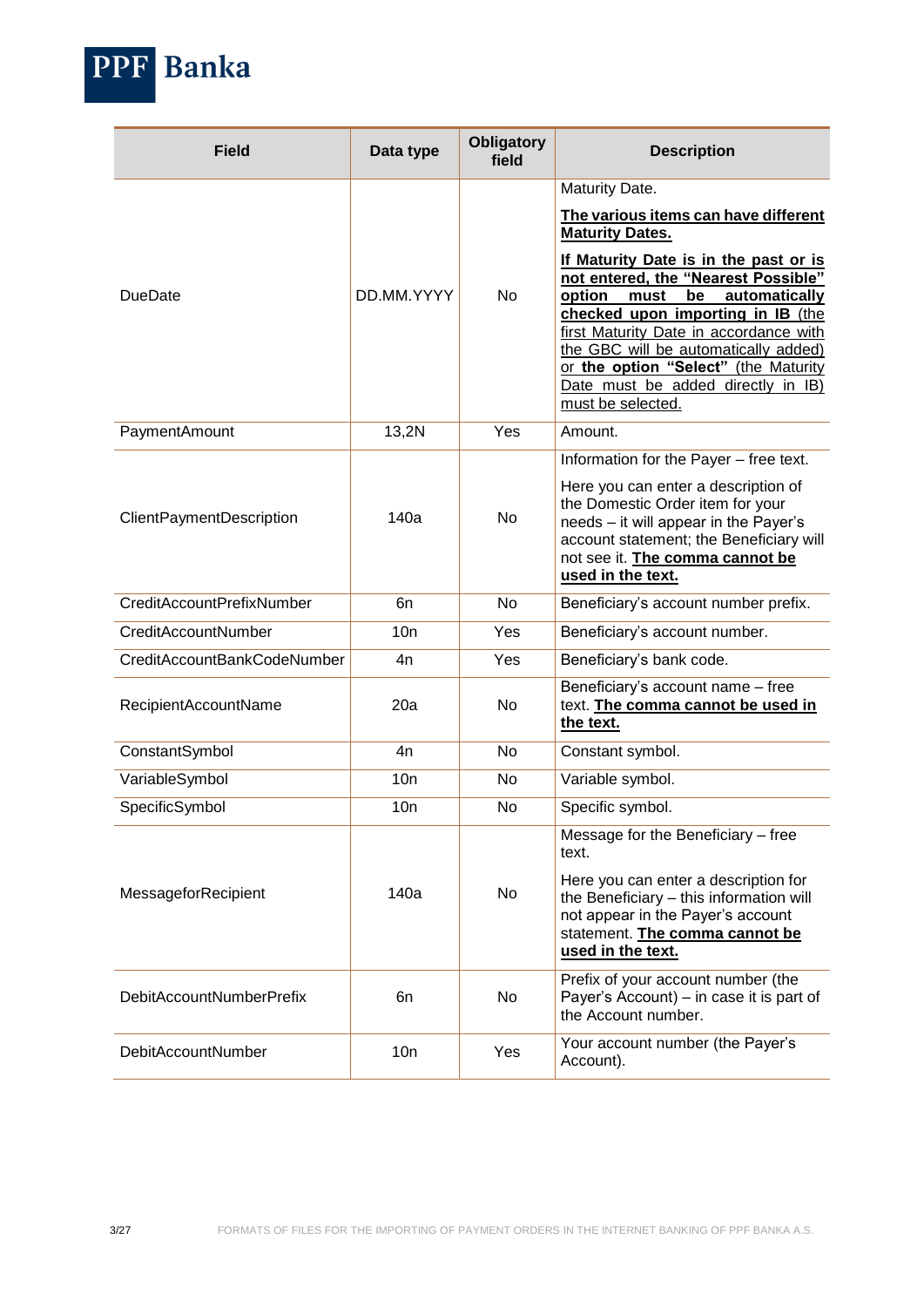

| <b>Field</b>                | Data type  | <b>Obligatory</b><br>field | <b>Description</b>                                                                                                                                                                                                                                                                                                                              |
|-----------------------------|------------|----------------------------|-------------------------------------------------------------------------------------------------------------------------------------------------------------------------------------------------------------------------------------------------------------------------------------------------------------------------------------------------|
|                             |            |                            | Maturity Date.<br>The various items can have different<br><b>Maturity Dates.</b>                                                                                                                                                                                                                                                                |
| <b>DueDate</b>              | DD.MM.YYYY | <b>No</b>                  | If Maturity Date is in the past or is<br>not entered, the "Nearest Possible"<br>option<br>be<br>must<br>automatically<br>checked upon importing in IB (the<br>first Maturity Date in accordance with<br>the GBC will be automatically added)<br>or the option "Select" (the Maturity<br>Date must be added directly in IB)<br>must be selected. |
| PaymentAmount               | 13,2N      | Yes                        | Amount.                                                                                                                                                                                                                                                                                                                                         |
|                             |            |                            | Information for the Payer - free text.                                                                                                                                                                                                                                                                                                          |
| ClientPaymentDescription    | 140a       | No                         | Here you can enter a description of<br>the Domestic Order item for your<br>needs - it will appear in the Payer's<br>account statement; the Beneficiary will<br>not see it. The comma cannot be<br>used in the text.                                                                                                                             |
| CreditAccountPrefixNumber   | 6n         | No.                        | Beneficiary's account number prefix.                                                                                                                                                                                                                                                                                                            |
| CreditAccountNumber         | 10n        | Yes                        | Beneficiary's account number.                                                                                                                                                                                                                                                                                                                   |
| CreditAccountBankCodeNumber | 4n         | Yes                        | Beneficiary's bank code.                                                                                                                                                                                                                                                                                                                        |
| RecipientAccountName        | 20a        | <b>No</b>                  | Beneficiary's account name - free<br>text. The comma cannot be used in<br>the text.                                                                                                                                                                                                                                                             |
| ConstantSymbol              | 4n         | <b>No</b>                  | Constant symbol.                                                                                                                                                                                                                                                                                                                                |
| VariableSymbol              | 10n        | No.                        | Variable symbol.                                                                                                                                                                                                                                                                                                                                |
| SpecificSymbol              | 10n        | No                         | Specific symbol.                                                                                                                                                                                                                                                                                                                                |
| MessageforRecipient         | 140a       | <b>No</b>                  | Message for the Beneficiary - free<br>text.<br>Here you can enter a description for<br>the Beneficiary - this information will<br>not appear in the Payer's account<br>statement. The comma cannot be<br>used in the text.                                                                                                                      |
| DebitAccountNumberPrefix    | 6n         | No                         | Prefix of your account number (the<br>Payer's Account) – in case it is part of<br>the Account number.                                                                                                                                                                                                                                           |
| <b>DebitAccountNumber</b>   | 10n        | Yes                        | Your account number (the Payer's<br>Account).                                                                                                                                                                                                                                                                                                   |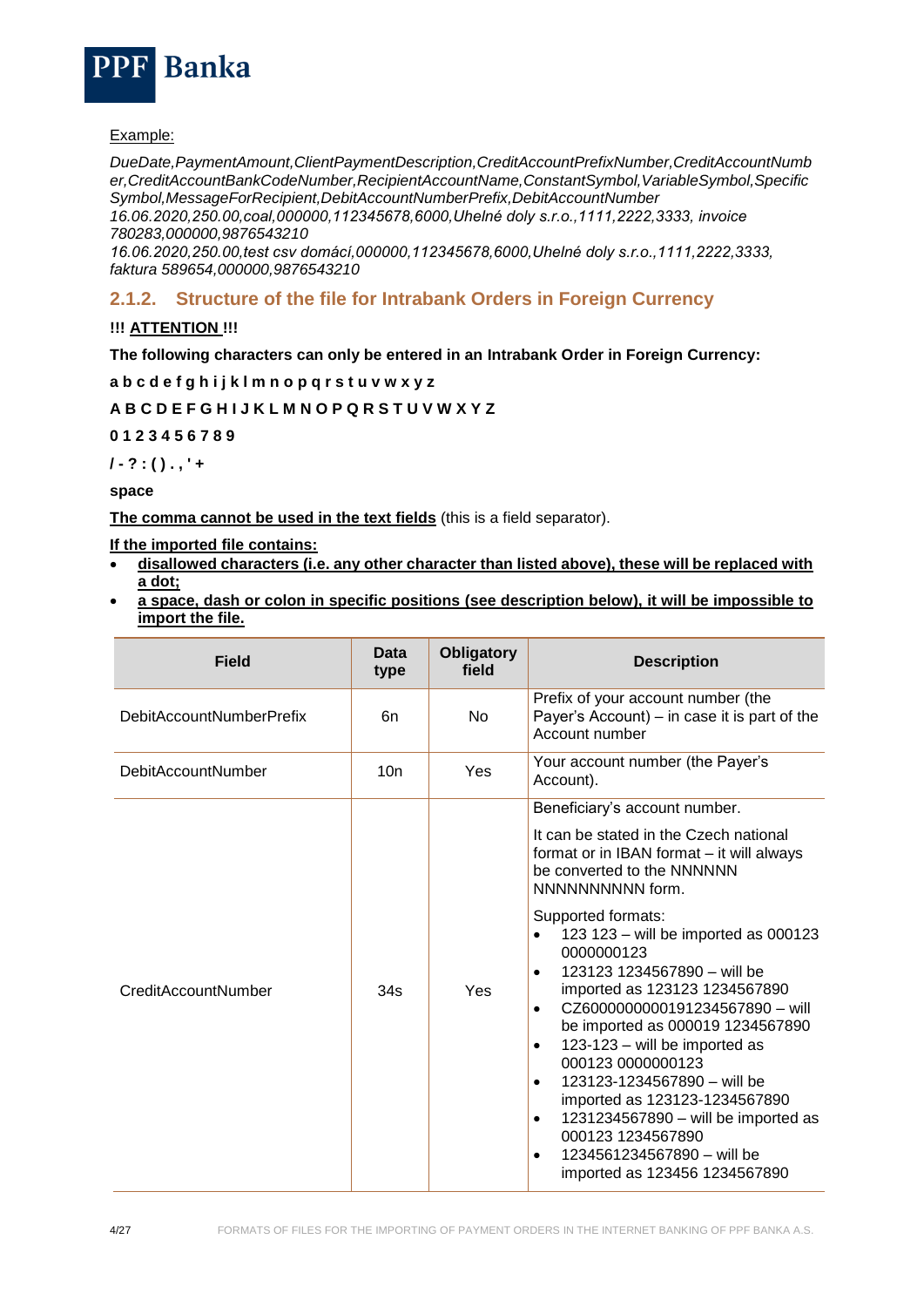

#### Example:

*DueDate,PaymentAmount,ClientPaymentDescription,CreditAccountPrefixNumber,CreditAccountNumb er,CreditAccountBankCodeNumber,RecipientAccountName,ConstantSymbol,VariableSymbol,Specific Symbol,MessageForRecipient,DebitAccountNumberPrefix,DebitAccountNumber*

*16.06.2020,250.00,coal,000000,112345678,6000,Uhelné doly s.r.o.,1111,2222,3333, invoice 780283,000000,9876543210*

*16.06.2020,250.00,test csv domácí,000000,112345678,6000,Uhelné doly s.r.o.,1111,2222,3333, faktura 589654,000000,9876543210*

## <span id="page-3-0"></span>**2.1.2. Structure of the file for Intrabank Orders in Foreign Currency**

#### **!!! ATTENTION !!!**

**The following characters can only be entered in an Intrabank Order in Foreign Currency:**

**a b c d e f g h i j k l m n o p q r s t u v w x y z**

#### **A B C D E F G H I J K L M N O P Q R S T U V W X Y Z**

**0 1 2 3 4 5 6 7 8 9**

**/ - ? : ( ) . , ' +**

**space**

**The comma cannot be used in the text fields** (this is a field separator).

**If the imported file contains:**

- **disallowed characters (i.e. any other character than listed above), these will be replaced with a dot;**
- **a space, dash or colon in specific positions (see description below), it will be impossible to import the file.**

| <b>Field</b>                    | Data<br>type | <b>Obligatory</b><br>field | <b>Description</b>                                                                                                                                                                                                                                                                                                                                                                                                                                                                                                                                                                                                                                                                                                                    |
|---------------------------------|--------------|----------------------------|---------------------------------------------------------------------------------------------------------------------------------------------------------------------------------------------------------------------------------------------------------------------------------------------------------------------------------------------------------------------------------------------------------------------------------------------------------------------------------------------------------------------------------------------------------------------------------------------------------------------------------------------------------------------------------------------------------------------------------------|
| <b>DebitAccountNumberPrefix</b> | 6n           | <b>No</b>                  | Prefix of your account number (the<br>Payer's Account) – in case it is part of the<br>Account number                                                                                                                                                                                                                                                                                                                                                                                                                                                                                                                                                                                                                                  |
| <b>DebitAccountNumber</b>       | 10n          | Yes                        | Your account number (the Payer's<br>Account).                                                                                                                                                                                                                                                                                                                                                                                                                                                                                                                                                                                                                                                                                         |
| CreditAccountNumber             | 34s          | Yes                        | Beneficiary's account number.<br>It can be stated in the Czech national<br>format or in IBAN format – it will always<br>be converted to the NNNNNN<br>NNNNNNNNNN form.<br>Supported formats:<br>123 123 - will be imported as 000123<br>$\bullet$<br>0000000123<br>123123 1234567890 - will be<br>$\bullet$<br>imported as 123123 1234567890<br>CZ6000000000191234567890 - will<br>$\bullet$<br>be imported as 000019 1234567890<br>123-123 - will be imported as<br>$\bullet$<br>000123 0000000123<br>123123-1234567890 - will be<br>$\bullet$<br>imported as 123123-1234567890<br>1231234567890 - will be imported as<br>$\bullet$<br>000123 1234567890<br>1234561234567890 - will be<br>$\bullet$<br>imported as 123456 1234567890 |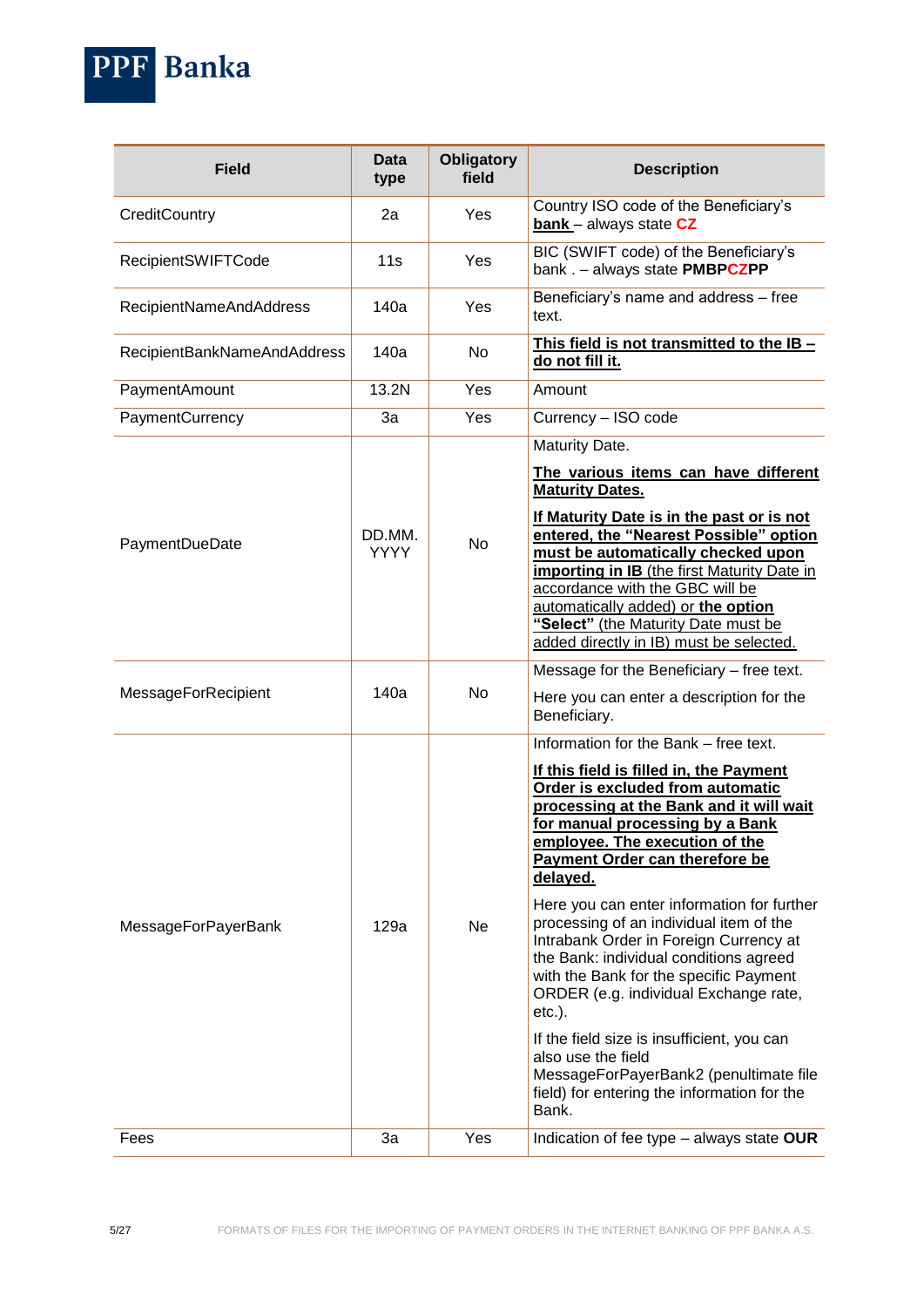PPF Banka

| <b>Field</b>                | <b>Data</b><br>type   | <b>Obligatory</b><br>field | <b>Description</b>                                                                                                                                                                                                                                                                                                                                                                                                                                                                                                                                                                                                                                                                                                                    |
|-----------------------------|-----------------------|----------------------------|---------------------------------------------------------------------------------------------------------------------------------------------------------------------------------------------------------------------------------------------------------------------------------------------------------------------------------------------------------------------------------------------------------------------------------------------------------------------------------------------------------------------------------------------------------------------------------------------------------------------------------------------------------------------------------------------------------------------------------------|
| CreditCountry               | 2a                    | Yes                        | Country ISO code of the Beneficiary's<br><b>bank</b> - always state CZ                                                                                                                                                                                                                                                                                                                                                                                                                                                                                                                                                                                                                                                                |
| <b>RecipientSWIFTCode</b>   | 11s                   | Yes                        | BIC (SWIFT code) of the Beneficiary's<br>bank . - always state PMBPCZPP                                                                                                                                                                                                                                                                                                                                                                                                                                                                                                                                                                                                                                                               |
| RecipientNameAndAddress     | 140a                  | Yes                        | Beneficiary's name and address - free<br>text.                                                                                                                                                                                                                                                                                                                                                                                                                                                                                                                                                                                                                                                                                        |
| RecipientBankNameAndAddress | 140a                  | No                         | This field is not transmitted to the IB -<br>do not fill it.                                                                                                                                                                                                                                                                                                                                                                                                                                                                                                                                                                                                                                                                          |
| PaymentAmount               | 13.2N                 | Yes                        | Amount                                                                                                                                                                                                                                                                                                                                                                                                                                                                                                                                                                                                                                                                                                                                |
| PaymentCurrency             | 3a                    | Yes                        | Currency - ISO code                                                                                                                                                                                                                                                                                                                                                                                                                                                                                                                                                                                                                                                                                                                   |
|                             |                       |                            | Maturity Date.                                                                                                                                                                                                                                                                                                                                                                                                                                                                                                                                                                                                                                                                                                                        |
|                             |                       |                            | The various items can have different<br><b>Maturity Dates.</b>                                                                                                                                                                                                                                                                                                                                                                                                                                                                                                                                                                                                                                                                        |
| PaymentDueDate              | DD.MM.<br><b>YYYY</b> | <b>No</b>                  | If Maturity Date is in the past or is not<br>entered, the "Nearest Possible" option<br>must be automatically checked upon<br>importing in IB (the first Maturity Date in<br>accordance with the GBC will be<br>automatically added) or the option<br>"Select" (the Maturity Date must be<br>added directly in IB) must be selected.                                                                                                                                                                                                                                                                                                                                                                                                   |
| MessageForRecipient         | 140a                  | <b>No</b>                  | Message for the Beneficiary - free text.<br>Here you can enter a description for the<br>Beneficiary.                                                                                                                                                                                                                                                                                                                                                                                                                                                                                                                                                                                                                                  |
| <b>MessageForPayerBank</b>  | 129a                  | Ne                         | Information for the Bank - free text.<br>If this field is filled in, the Payment<br>Order is excluded from automatic<br>processing at the Bank and it will wait<br>for manual processing by a Bank<br>employee. The execution of the<br>Payment Order can therefore be<br>delayed.<br>Here you can enter information for further<br>processing of an individual item of the<br>Intrabank Order in Foreign Currency at<br>the Bank: individual conditions agreed<br>with the Bank for the specific Payment<br>ORDER (e.g. individual Exchange rate,<br>$etc.$ ).<br>If the field size is insufficient, you can<br>also use the field<br>MessageForPayerBank2 (penultimate file<br>field) for entering the information for the<br>Bank. |
| Fees                        | 3a                    | Yes                        | Indication of fee type - always state OUR                                                                                                                                                                                                                                                                                                                                                                                                                                                                                                                                                                                                                                                                                             |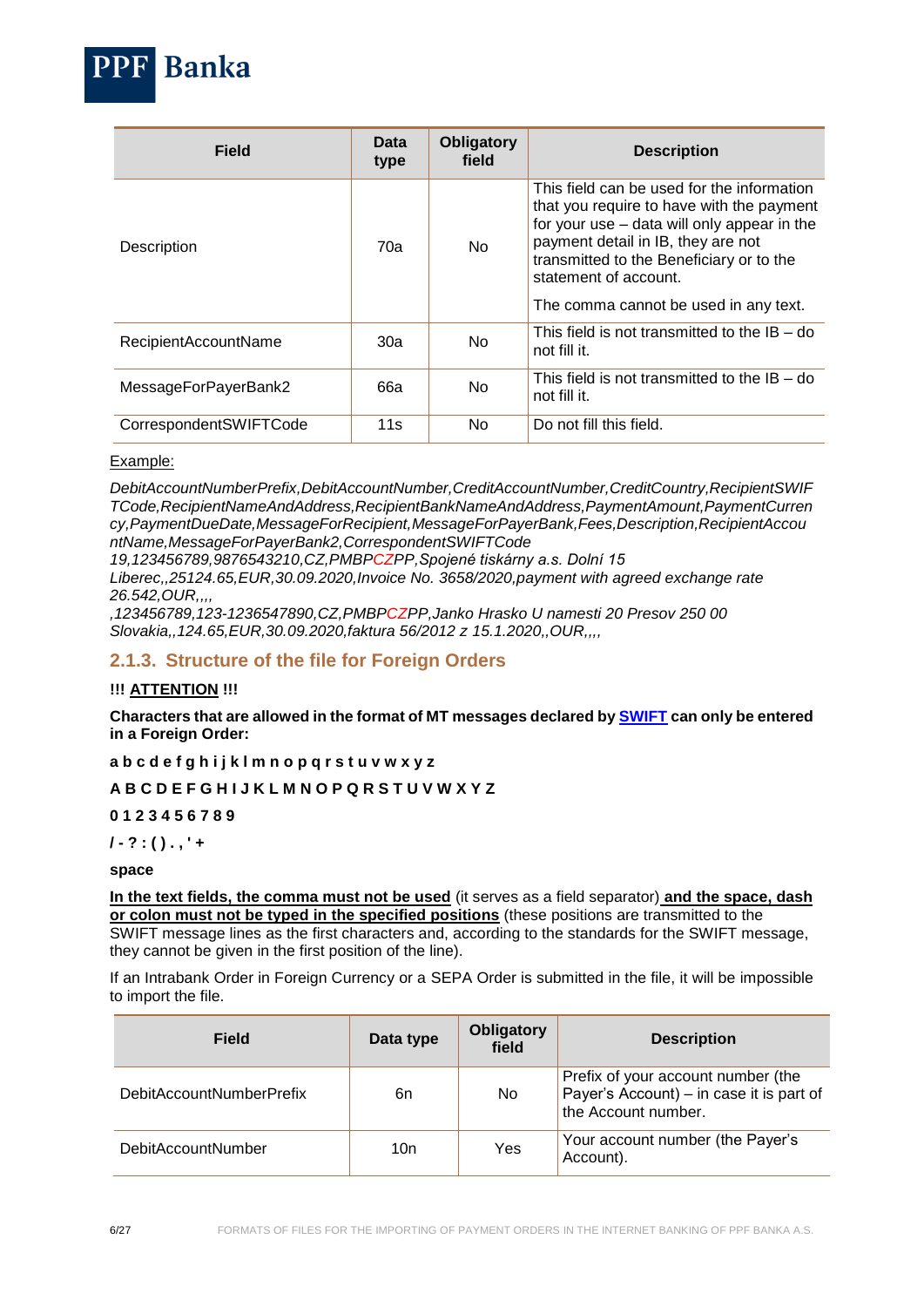| <b>Field</b>           | Data<br>type | <b>Obligatory</b><br>field | <b>Description</b>                                                                                                                                                                                                                                                                         |
|------------------------|--------------|----------------------------|--------------------------------------------------------------------------------------------------------------------------------------------------------------------------------------------------------------------------------------------------------------------------------------------|
| Description            | 70а          | <b>No</b>                  | This field can be used for the information<br>that you require to have with the payment<br>for your use - data will only appear in the<br>payment detail in IB, they are not<br>transmitted to the Beneficiary or to the<br>statement of account.<br>The comma cannot be used in any text. |
| RecipientAccountName   | 30a          | N <sub>o</sub>             | This field is not transmitted to the $IB - do$<br>not fill it.                                                                                                                                                                                                                             |
| MessageForPayerBank2   | 66a          | N <sub>o</sub>             | This field is not transmitted to the $IB - do$<br>not fill it.                                                                                                                                                                                                                             |
| CorrespondentSWIFTCode | 11s          | No.                        | Do not fill this field.                                                                                                                                                                                                                                                                    |

#### Example:

**Banka** 

*DebitAccountNumberPrefix,DebitAccountNumber,CreditAccountNumber,CreditCountry,RecipientSWIF TCode,RecipientNameAndAddress,RecipientBankNameAndAddress,PaymentAmount,PaymentCurren cy,PaymentDueDate,MessageForRecipient,MessageForPayerBank,Fees,Description,RecipientAccou ntName,MessageForPayerBank2,CorrespondentSWIFTCode*

*19,123456789,9876543210,CZ,PMBPCZPP,Spojené tiskárny a.s. Dolní 15* 

*Liberec,,25124.65,EUR,30.09.2020,Invoice No. 3658/2020,payment with agreed exchange rate 26.542,OUR,,,,*

*,123456789,123-1236547890,CZ,PMBPCZPP,Janko Hrasko U namesti 20 Presov 250 00 Slovakia,,124.65,EUR,30.09.2020,faktura 56/2012 z 15.1.2020,,OUR,,,,*

## <span id="page-5-0"></span>**2.1.3. Structure of the file for Foreign Orders**

#### **!!! ATTENTION !!!**

**Characters that are allowed in the format of MT messages declared by [SWIFT](http://www.swift.com/) can only be entered in a Foreign Order:**

#### **a b c d e f g h i j k l m n o p q r s t u v w x y z**

## **A B C D E F G H I J K L M N O P Q R S T U V W X Y Z**

#### **0 1 2 3 4 5 6 7 8 9**

#### **/ - ? : ( ) . , ' +**

#### **space**

**In the text fields, the comma must not be used** (it serves as a field separator) **and the space, dash or colon must not be typed in the specified positions** (these positions are transmitted to the SWIFT message lines as the first characters and, according to the standards for the SWIFT message, they cannot be given in the first position of the line).

If an Intrabank Order in Foreign Currency or a SEPA Order is submitted in the file, it will be impossible to import the file.

| <b>Field</b>              | Data type | <b>Obligatory</b><br>field | <b>Description</b>                                                                                    |
|---------------------------|-----------|----------------------------|-------------------------------------------------------------------------------------------------------|
| DebitAccountNumberPrefix  | 6n        | No.                        | Prefix of your account number (the<br>Payer's Account) - in case it is part of<br>the Account number. |
| <b>DebitAccountNumber</b> | 10n       | Yes                        | Your account number (the Payer's<br>Account).                                                         |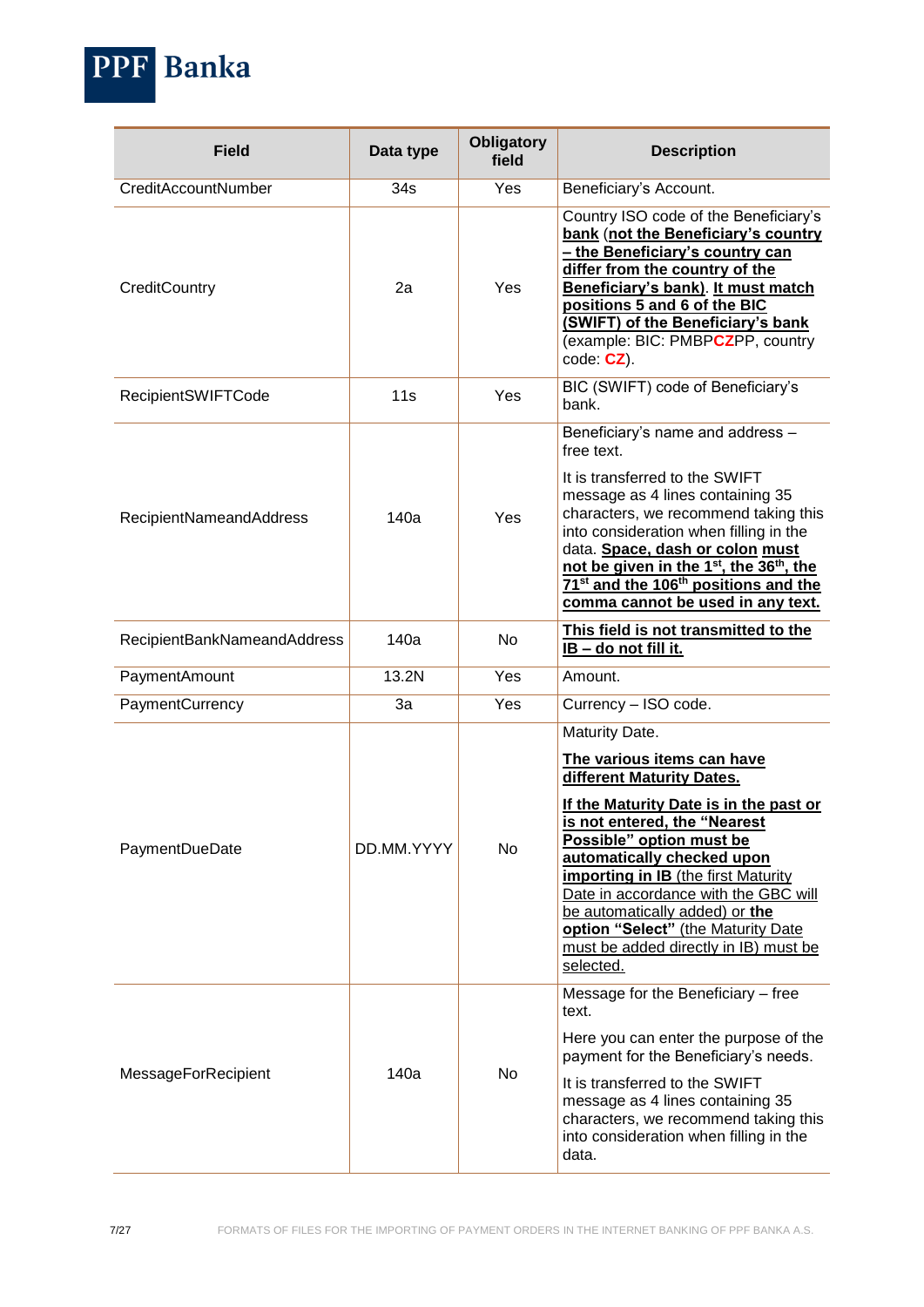PPF Banka

| <b>Field</b>                | Data type  | <b>Obligatory</b><br>field | <b>Description</b>                                                                                                                                                                                                                                                                                                                                                                                                                |
|-----------------------------|------------|----------------------------|-----------------------------------------------------------------------------------------------------------------------------------------------------------------------------------------------------------------------------------------------------------------------------------------------------------------------------------------------------------------------------------------------------------------------------------|
| CreditAccountNumber         | 34s        | Yes                        | Beneficiary's Account.                                                                                                                                                                                                                                                                                                                                                                                                            |
| CreditCountry               | 2a         | Yes                        | Country ISO code of the Beneficiary's<br>bank (not the Beneficiary's country<br>- the Beneficiary's country can<br>differ from the country of the<br>Beneficiary's bank). It must match<br>positions 5 and 6 of the BIC<br>(SWIFT) of the Beneficiary's bank<br>(example: BIC: PMBPCZPP, country<br>$code: CZ$ ).                                                                                                                 |
| <b>RecipientSWIFTCode</b>   | 11s        | Yes                        | BIC (SWIFT) code of Beneficiary's<br>bank.                                                                                                                                                                                                                                                                                                                                                                                        |
|                             |            |                            | Beneficiary's name and address -<br>free text.                                                                                                                                                                                                                                                                                                                                                                                    |
| RecipientNameandAddress     | 140a       | Yes                        | It is transferred to the SWIFT<br>message as 4 lines containing 35<br>characters, we recommend taking this<br>into consideration when filling in the<br>data. Space, dash or colon must<br>not be given in the 1 <sup>st</sup> , the 36 <sup>th</sup> , the<br>71 <sup>st</sup> and the 106 <sup>th</sup> positions and the<br>comma cannot be used in any text.                                                                  |
| RecipientBankNameandAddress | 140a       | No                         | This field is not transmitted to the<br>IB - do not fill it.                                                                                                                                                                                                                                                                                                                                                                      |
| PaymentAmount               | 13.2N      | Yes                        | Amount.                                                                                                                                                                                                                                                                                                                                                                                                                           |
| PaymentCurrency             | 3a         | Yes                        | Currency - ISO code.                                                                                                                                                                                                                                                                                                                                                                                                              |
| PaymentDueDate              | DD.MM.YYYY | No                         | Maturity Date.<br>The various items can have<br>different Maturity Dates.<br>If the Maturity Date is in the past or<br>is not entered, the "Nearest<br>Possible" option must be<br>automatically checked upon<br><b>importing in IB</b> (the first Maturity<br>Date in accordance with the GBC will<br>be automatically added) or the<br>option "Select" (the Maturity Date<br>must be added directly in IB) must be<br>selected. |
| MessageForRecipient         | 140a       | No                         | Message for the Beneficiary - free<br>text.<br>Here you can enter the purpose of the<br>payment for the Beneficiary's needs.<br>It is transferred to the SWIFT<br>message as 4 lines containing 35<br>characters, we recommend taking this<br>into consideration when filling in the<br>data.                                                                                                                                     |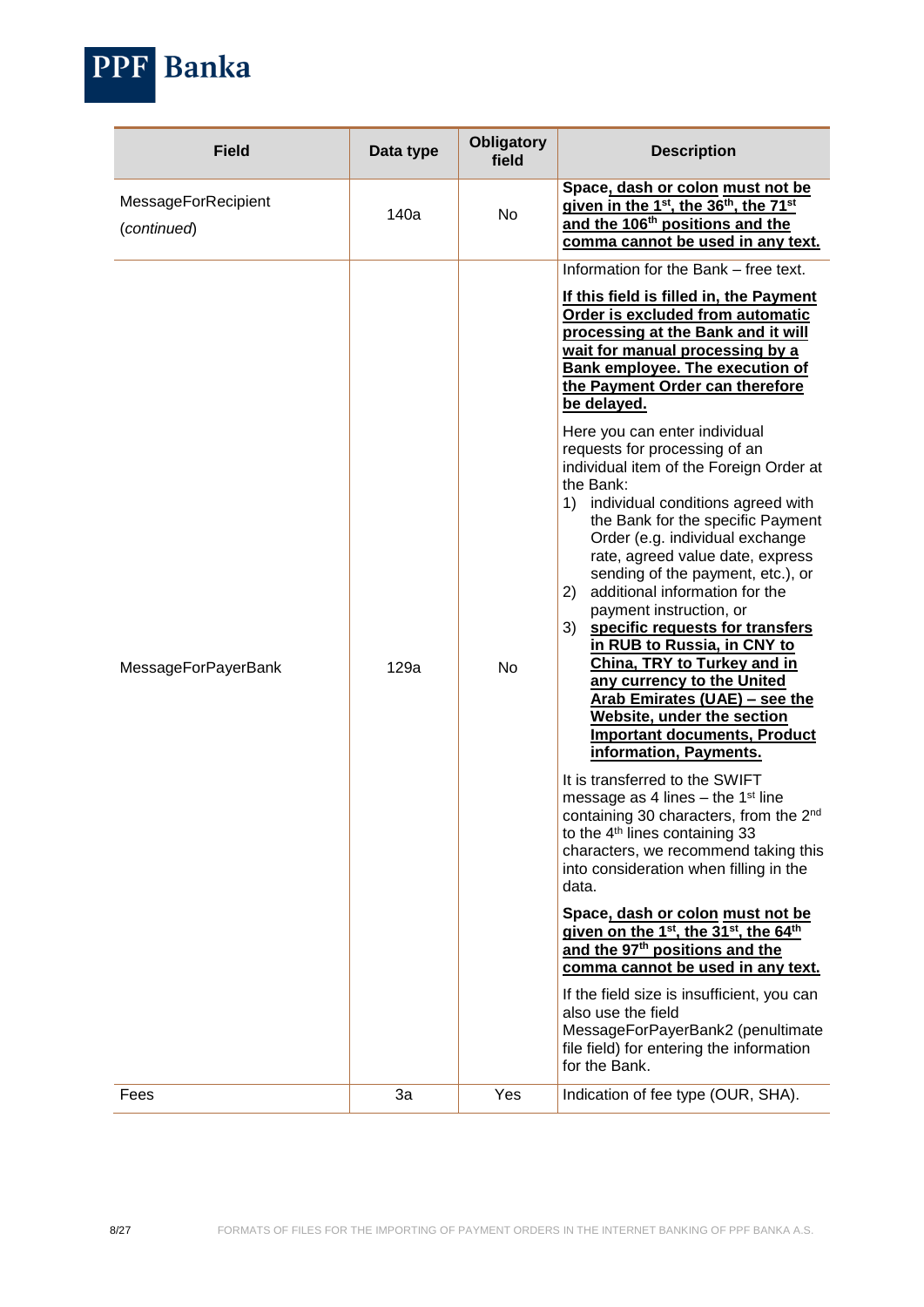| <b>PPF Banka</b> |
|------------------|
|                  |

| <b>Field</b>                       | Data type  | <b>Obligatory</b><br>field | <b>Description</b>                                                                                                                                                                                                                                                                                                                                                                                                                                                                                                                                                                                                                                                                                                                                                                                                                                                                                                                                                                                                                                                                                                                                                                                                                                                                                                                                                                                                                                                                                                                                                                                                                                           |
|------------------------------------|------------|----------------------------|--------------------------------------------------------------------------------------------------------------------------------------------------------------------------------------------------------------------------------------------------------------------------------------------------------------------------------------------------------------------------------------------------------------------------------------------------------------------------------------------------------------------------------------------------------------------------------------------------------------------------------------------------------------------------------------------------------------------------------------------------------------------------------------------------------------------------------------------------------------------------------------------------------------------------------------------------------------------------------------------------------------------------------------------------------------------------------------------------------------------------------------------------------------------------------------------------------------------------------------------------------------------------------------------------------------------------------------------------------------------------------------------------------------------------------------------------------------------------------------------------------------------------------------------------------------------------------------------------------------------------------------------------------------|
| MessageForRecipient<br>(continued) | 140a       | No                         | Space, dash or colon must not be<br>given in the 1 <sup>st</sup> , the 36 <sup>th</sup> , the 71 <sup>st</sup><br>and the 106 <sup>th</sup> positions and the<br>comma cannot be used in any text.                                                                                                                                                                                                                                                                                                                                                                                                                                                                                                                                                                                                                                                                                                                                                                                                                                                                                                                                                                                                                                                                                                                                                                                                                                                                                                                                                                                                                                                           |
| <b>MessageForPayerBank</b><br>Fees | 129a<br>3a | No<br>Yes                  | Information for the Bank - free text.<br>If this field is filled in, the Payment<br>Order is excluded from automatic<br>processing at the Bank and it will<br>wait for manual processing by a<br><b>Bank employee. The execution of</b><br>the Payment Order can therefore<br>be delayed.<br>Here you can enter individual<br>requests for processing of an<br>individual item of the Foreign Order at<br>the Bank:<br>individual conditions agreed with<br>1)<br>the Bank for the specific Payment<br>Order (e.g. individual exchange<br>rate, agreed value date, express<br>sending of the payment, etc.), or<br>additional information for the<br>2)<br>payment instruction, or<br>specific requests for transfers<br>3)<br>in RUB to Russia, in CNY to<br>China, TRY to Turkey and in<br>any currency to the United<br>Arab Emirates (UAE) - see the<br>Website, under the section<br><b>Important documents, Product</b><br>information, Payments.<br>It is transferred to the SWIFT<br>message as 4 lines $-$ the 1 <sup>st</sup> line<br>containing 30 characters, from the 2 <sup>nd</sup><br>to the 4 <sup>th</sup> lines containing 33<br>characters, we recommend taking this<br>into consideration when filling in the<br>data.<br>Space, dash or colon must not be<br>given on the 1 <sup>st</sup> , the 31 <sup>st</sup> , the 64 <sup>th</sup><br>and the 97 <sup>th</sup> positions and the<br>comma cannot be used in any text.<br>If the field size is insufficient, you can<br>also use the field<br>MessageForPayerBank2 (penultimate<br>file field) for entering the information<br>for the Bank.<br>Indication of fee type (OUR, SHA). |
|                                    |            |                            |                                                                                                                                                                                                                                                                                                                                                                                                                                                                                                                                                                                                                                                                                                                                                                                                                                                                                                                                                                                                                                                                                                                                                                                                                                                                                                                                                                                                                                                                                                                                                                                                                                                              |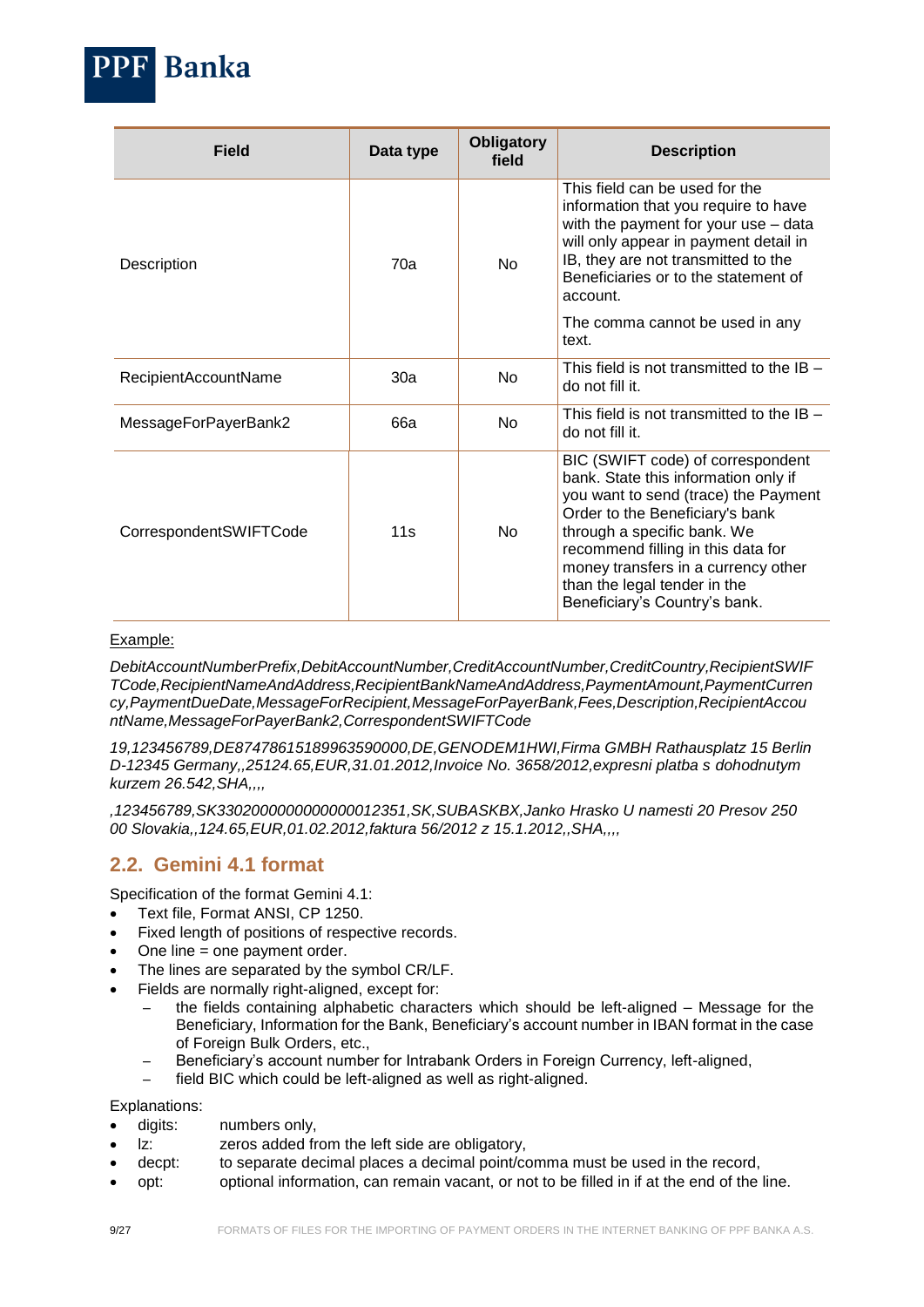

#### Example:

*DebitAccountNumberPrefix,DebitAccountNumber,CreditAccountNumber,CreditCountry,RecipientSWIF TCode,RecipientNameAndAddress,RecipientBankNameAndAddress,PaymentAmount,PaymentCurren cy,PaymentDueDate,MessageForRecipient,MessageForPayerBank,Fees,Description,RecipientAccou ntName,MessageForPayerBank2,CorrespondentSWIFTCode*

*19,123456789,DE87478615189963590000,DE,GENODEM1HWI,Firma GMBH Rathausplatz 15 Berlin D-12345 Germany,,25124.65,EUR,31.01.2012,Invoice No. 3658/2012,expresni platba s dohodnutym kurzem 26.542,SHA,,,,*

*,123456789,SK3302000000000000012351,SK,SUBASKBX,Janko Hrasko U namesti 20 Presov 250 00 Slovakia,,124.65,EUR,01.02.2012,faktura 56/2012 z 15.1.2012,,SHA,,,,*

## <span id="page-8-0"></span>**2.2. Gemini 4.1 format**

**Banka** 

Specification of the format Gemini 4.1:

- Text file, Format ANSI, CP 1250.
- Fixed length of positions of respective records.
- One line = one payment order.
- The lines are separated by the symbol CR/LF.
- Fields are normally right-aligned, except for:
	- the fields containing alphabetic characters which should be left-aligned Message for the Beneficiary, Information for the Bank, Beneficiary's account number in IBAN format in the case of Foreign Bulk Orders, etc.,
	- Beneficiary's account number for Intrabank Orders in Foreign Currency, left-aligned,
	- field BIC which could be left-aligned as well as right-aligned.

Explanations:

- digits: numbers only,
- lz: zeros added from the left side are obligatory,
- decpt: to separate decimal places a decimal point/comma must be used in the record,
- opt: optional information, can remain vacant, or not to be filled in if at the end of the line.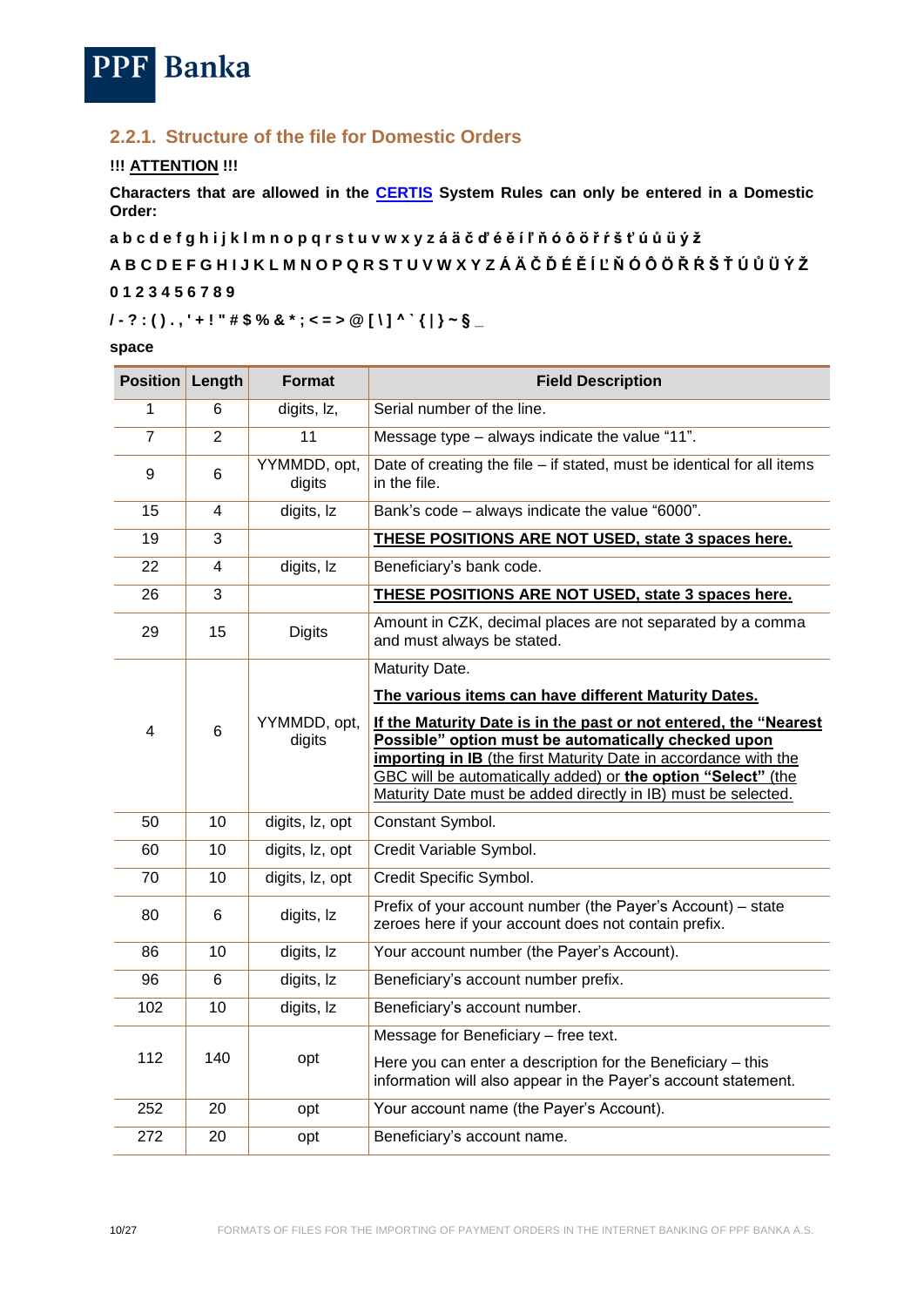

## <span id="page-9-0"></span>**2.2.1. Structure of the file for Domestic Orders**

#### **!!! ATTENTION !!!**

**Characters that are allowed in the [CERTIS](http://www.cnb.cz/cs/platebni_styk/certis/index.html) System Rules can only be entered in a Domestic Order:**

**a b c d e f g h i j k l m n o p q r s t u v w x y z á ä č ď é ě í ľ ň ó ô ö ř ŕ š ť ú ů ü ý ž**

**A B C D E F G H I J K L M N O P Q R S T U V W X Y Z Á Ä Č Ď É Ě Í Ľ Ň Ó Ô Ö Ř Ŕ Š Ť Ú Ů Ü Ý Ž**

#### **0 1 2 3 4 5 6 7 8 9**

## **/ - ? : ( ) . , ' + ! " # \$ % & \* ; < = > @ [ \ ] ^ ` { | } ~ § \_**

#### **space**

| <b>Position</b> | Length         | <b>Format</b>          | <b>Field Description</b>                                                                                                                                                                                                                                                                                                    |
|-----------------|----------------|------------------------|-----------------------------------------------------------------------------------------------------------------------------------------------------------------------------------------------------------------------------------------------------------------------------------------------------------------------------|
| 1               | 6              | digits, Iz,            | Serial number of the line.                                                                                                                                                                                                                                                                                                  |
| $\overline{7}$  | $\overline{2}$ | $\overline{11}$        | Message type - always indicate the value "11".                                                                                                                                                                                                                                                                              |
| 9               | 6              | YYMMDD, opt,<br>digits | Date of creating the file - if stated, must be identical for all items<br>in the file.                                                                                                                                                                                                                                      |
| 15              | 4              | digits, Iz             | Bank's code - always indicate the value "6000".                                                                                                                                                                                                                                                                             |
| 19              | $\overline{3}$ |                        | THESE POSITIONS ARE NOT USED, state 3 spaces here.                                                                                                                                                                                                                                                                          |
| 22              | 4              | digits, Iz             | Beneficiary's bank code.                                                                                                                                                                                                                                                                                                    |
| 26              | 3              |                        | THESE POSITIONS ARE NOT USED, state 3 spaces here.                                                                                                                                                                                                                                                                          |
| 29              | 15             | <b>Digits</b>          | Amount in CZK, decimal places are not separated by a comma<br>and must always be stated.                                                                                                                                                                                                                                    |
|                 |                |                        | Maturity Date.                                                                                                                                                                                                                                                                                                              |
|                 |                |                        | The various items can have different Maturity Dates.                                                                                                                                                                                                                                                                        |
| 4               | 6              | YYMMDD, opt,<br>digits | If the Maturity Date is in the past or not entered, the "Nearest<br>Possible" option must be automatically checked upon<br>importing in IB (the first Maturity Date in accordance with the<br>GBC will be automatically added) or the option "Select" (the<br>Maturity Date must be added directly in IB) must be selected. |
| 50              | 10             | digits, lz, opt        | Constant Symbol.                                                                                                                                                                                                                                                                                                            |
| 60              | 10             | digits, lz, opt        | Credit Variable Symbol.                                                                                                                                                                                                                                                                                                     |
| 70              | 10             | digits, lz, opt        | Credit Specific Symbol.                                                                                                                                                                                                                                                                                                     |
| 80              | 6              | digits, Iz             | Prefix of your account number (the Payer's Account) - state<br>zeroes here if your account does not contain prefix.                                                                                                                                                                                                         |
| 86              | 10             | digits, Iz             | Your account number (the Payer's Account).                                                                                                                                                                                                                                                                                  |
| 96              | 6              | digits, Iz             | Beneficiary's account number prefix.                                                                                                                                                                                                                                                                                        |
| 102             | 10             | digits, Iz             | Beneficiary's account number.                                                                                                                                                                                                                                                                                               |
| 112             | 140            | opt                    | Message for Beneficiary - free text.<br>Here you can enter a description for the Beneficiary - this<br>information will also appear in the Payer's account statement.                                                                                                                                                       |
| 252             | 20             | opt                    | Your account name (the Payer's Account).                                                                                                                                                                                                                                                                                    |
| 272             | 20             | opt                    | Beneficiary's account name.                                                                                                                                                                                                                                                                                                 |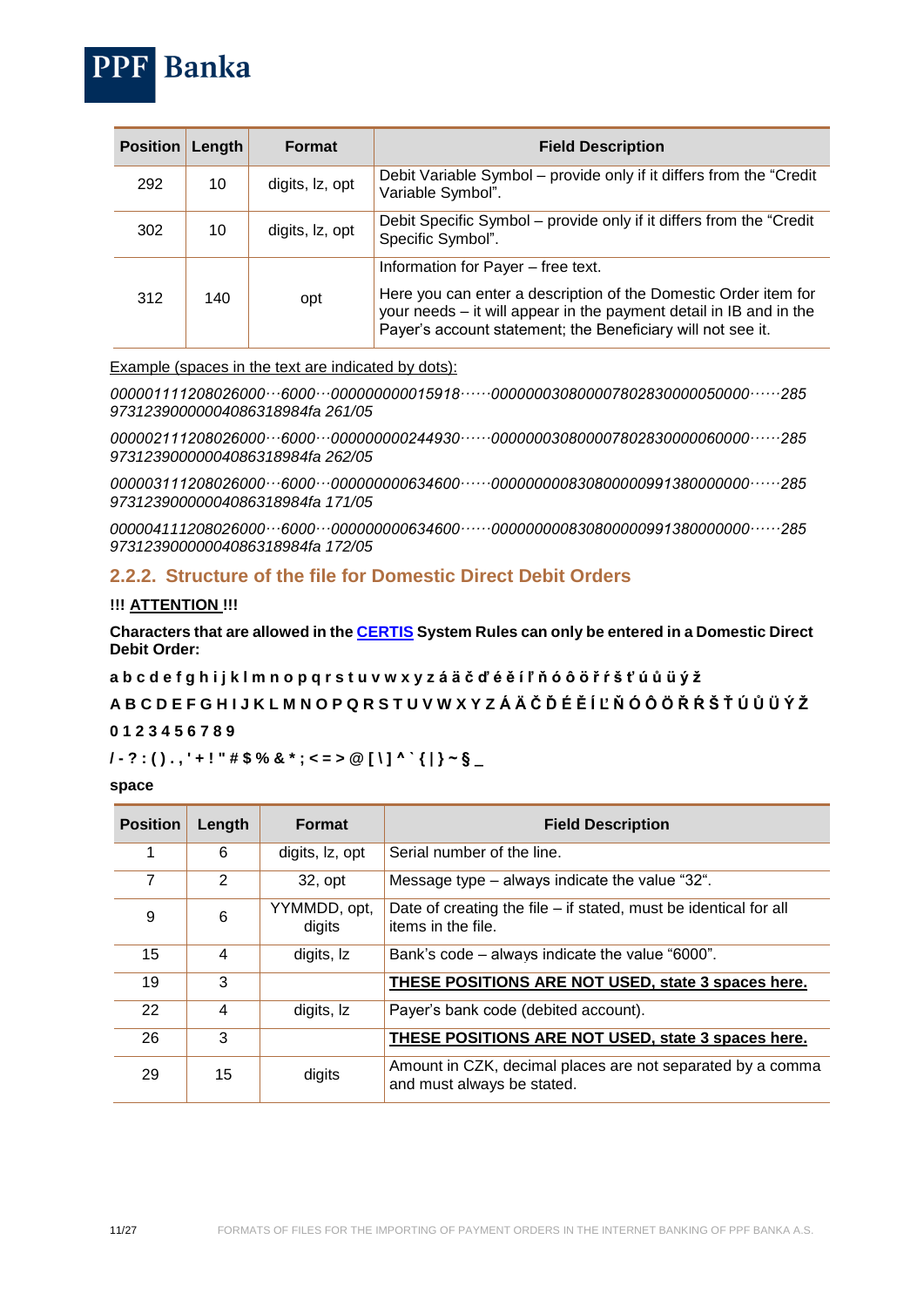| <b>Position</b> | Length | <b>Format</b>   | <b>Field Description</b>                                                                                                                                                                                                                   |
|-----------------|--------|-----------------|--------------------------------------------------------------------------------------------------------------------------------------------------------------------------------------------------------------------------------------------|
| 292             | 10     | digits, Iz, opt | Debit Variable Symbol – provide only if it differs from the "Credit"<br>Variable Symbol".                                                                                                                                                  |
| 302             | 10     | digits, Iz, opt | Debit Specific Symbol – provide only if it differs from the "Credit"<br>Specific Symbol".                                                                                                                                                  |
| 312             | 140    | opt             | Information for Payer – free text.<br>Here you can enter a description of the Domestic Order item for<br>your needs - it will appear in the payment detail in IB and in the<br>Payer's account statement; the Beneficiary will not see it. |

Example (spaces in the text are indicated by dots):

*000001111208026000···6000···000000000015918······000000030800007802830000050000······285 97312390000004086318984fa 261/05*

*000002111208026000···6000···000000000244930······000000030800007802830000060000······285 97312390000004086318984fa 262/05*

*000003111208026000···6000···000000000634600······000000000830800000991380000000······285 97312390000004086318984fa 171/05*

*000004111208026000···6000···000000000634600······000000000830800000991380000000······285 97312390000004086318984fa 172/05* 

#### <span id="page-10-0"></span>**2.2.2. Structure of the file for Domestic Direct Debit Orders**

#### **!!! ATTENTION !!!**

**PPF** Banka

**Characters that are allowed in the [CERTIS](http://www.cnb.cz/cs/platebni_styk/certis/index.html) System Rules can only be entered in a Domestic Direct Debit Order:**

**a b c d e f g h i j k l m n o p q r s t u v w x y z á ä č ď é ě í ľ ň ó ô ö ř ŕ š ť ú ů ü ý ž**

## **A B C D E F G H I J K L M N O P Q R S T U V W X Y Z Á Ä Č Ď É Ě Í Ľ Ň Ó Ô Ö Ř Ŕ Š Ť Ú Ů Ü Ý Ž**

#### **0 1 2 3 4 5 6 7 8 9**

## **/ - ? : ( ) . , ' + ! " # \$ % & \* ; < = > @ [ \ ] ^ ` { | } ~ § \_**

#### **space**

| <b>Position</b> | Length | <b>Format</b>          | <b>Field Description</b>                                                                 |
|-----------------|--------|------------------------|------------------------------------------------------------------------------------------|
|                 | 6      | digits, Iz, opt        | Serial number of the line.                                                               |
| 7               | 2      | 32, opt                | Message type – always indicate the value "32".                                           |
| 9               | 6      | YYMMDD, opt,<br>digits | Date of creating the file – if stated, must be identical for all<br>items in the file.   |
| 15              | 4      | digits, Iz             | Bank's code – always indicate the value "6000".                                          |
| 19              | 3      |                        | THESE POSITIONS ARE NOT USED, state 3 spaces here.                                       |
| 22              | 4      | digits, Iz             | Payer's bank code (debited account).                                                     |
| 26              | 3      |                        | THESE POSITIONS ARE NOT USED, state 3 spaces here.                                       |
| 29              | 15     | digits                 | Amount in CZK, decimal places are not separated by a comma<br>and must always be stated. |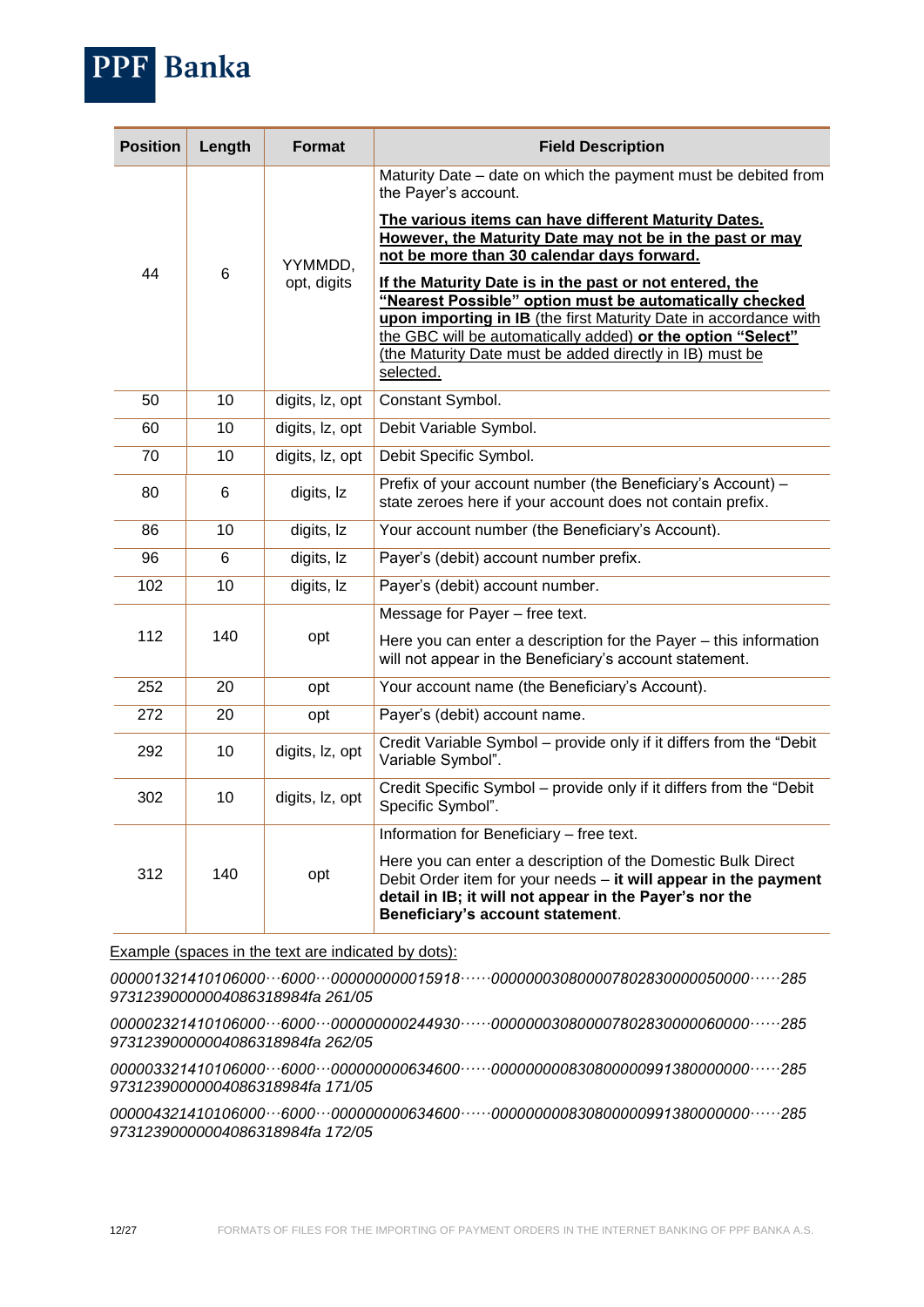

| <b>Position</b> | Length         | <b>Format</b>          | <b>Field Description</b>                                                                                                                                                                                                                                                                                                       |
|-----------------|----------------|------------------------|--------------------------------------------------------------------------------------------------------------------------------------------------------------------------------------------------------------------------------------------------------------------------------------------------------------------------------|
|                 |                | YYMMDD,<br>opt, digits | Maturity Date – date on which the payment must be debited from<br>the Payer's account.                                                                                                                                                                                                                                         |
|                 |                |                        | The various items can have different Maturity Dates.<br>However, the Maturity Date may not be in the past or may<br>not be more than 30 calendar days forward.                                                                                                                                                                 |
| 44              | 6              |                        | If the Maturity Date is in the past or not entered, the<br>"Nearest Possible" option must be automatically checked<br>upon importing in IB (the first Maturity Date in accordance with<br>the GBC will be automatically added) or the option "Select"<br>(the Maturity Date must be added directly in IB) must be<br>selected. |
| 50              | 10             | digits, Iz, opt        | Constant Symbol.                                                                                                                                                                                                                                                                                                               |
| 60              | 10             | digits, Iz, opt        | Debit Variable Symbol.                                                                                                                                                                                                                                                                                                         |
| 70              | 10             | digits, Iz, opt        | Debit Specific Symbol.                                                                                                                                                                                                                                                                                                         |
| 80              | 6              | digits, Iz             | Prefix of your account number (the Beneficiary's Account) -<br>state zeroes here if your account does not contain prefix.                                                                                                                                                                                                      |
| 86              | 10             | digits, Iz             | Your account number (the Beneficiary's Account).                                                                                                                                                                                                                                                                               |
| 96              | $6\phantom{1}$ | digits, Iz             | Payer's (debit) account number prefix.                                                                                                                                                                                                                                                                                         |
| 102             | 10             | digits, Iz             | Payer's (debit) account number.                                                                                                                                                                                                                                                                                                |
| 112             | 140            | opt                    | Message for Payer - free text.<br>Here you can enter a description for the Payer - this information<br>will not appear in the Beneficiary's account statement.                                                                                                                                                                 |
| 252             | 20             | opt                    | Your account name (the Beneficiary's Account).                                                                                                                                                                                                                                                                                 |
| 272             | 20             | opt                    | Payer's (debit) account name.                                                                                                                                                                                                                                                                                                  |
| 292             | 10             | digits, lz, opt        | Credit Variable Symbol - provide only if it differs from the "Debit<br>Variable Symbol".                                                                                                                                                                                                                                       |
| 302             | 10             | digits, lz, opt        | Credit Specific Symbol - provide only if it differs from the "Debit<br>Specific Symbol".                                                                                                                                                                                                                                       |
|                 |                |                        | Information for Beneficiary - free text.                                                                                                                                                                                                                                                                                       |
| 312             | 140            | opt                    | Here you can enter a description of the Domestic Bulk Direct<br>Debit Order item for your needs - it will appear in the payment<br>detail in IB; it will not appear in the Payer's nor the<br>Beneficiary's account statement.                                                                                                 |

Example (spaces in the text are indicated by dots):

*000001321410106000···6000···000000000015918······000000030800007802830000050000······285 97312390000004086318984fa 261/05*

*000002321410106000···6000···000000000244930······000000030800007802830000060000······285 97312390000004086318984fa 262/05*

*000003321410106000···6000···000000000634600······000000000830800000991380000000······285 97312390000004086318984fa 171/05*

*000004321410106000···6000···000000000634600······000000000830800000991380000000······285 97312390000004086318984fa 172/05*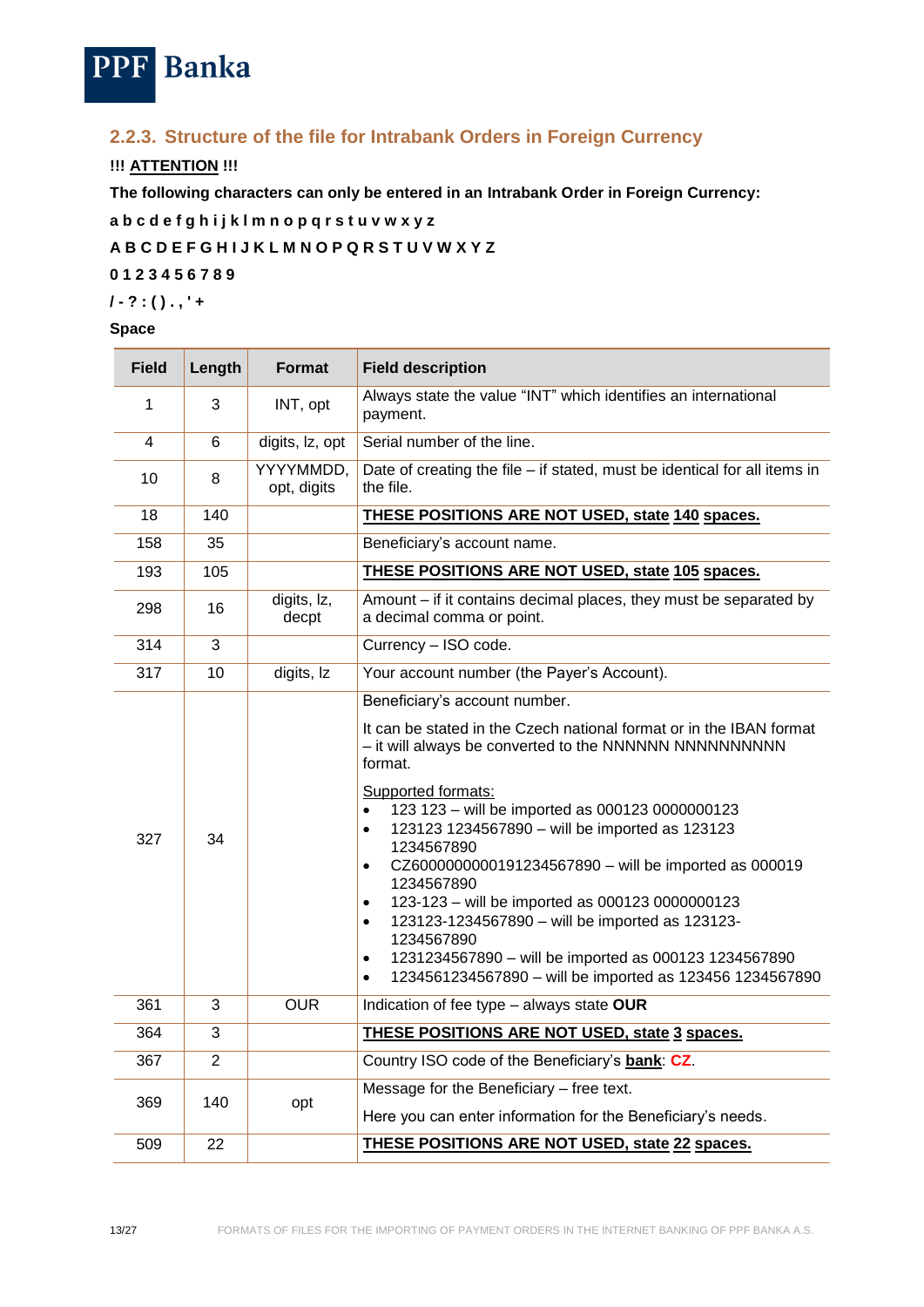

## <span id="page-12-0"></span>**2.2.3. Structure of the file for Intrabank Orders in Foreign Currency**

## **!!! ATTENTION !!!**

**The following characters can only be entered in an Intrabank Order in Foreign Currency:**

**a b c d e f g h i j k l m n o p q r s t u v w x y z A B C D E F G H I J K L M N O P Q R S T U V W X Y Z 0 1 2 3 4 5 6 7 8 9 / - ? : ( ) . , ' +**

#### **Space**

| <b>Field</b>   | Length         | Format                   | <b>Field description</b>                                                                                                                                                                                                                                                                                                                                                                                                                                                                                                                                                                                                                                                                           |
|----------------|----------------|--------------------------|----------------------------------------------------------------------------------------------------------------------------------------------------------------------------------------------------------------------------------------------------------------------------------------------------------------------------------------------------------------------------------------------------------------------------------------------------------------------------------------------------------------------------------------------------------------------------------------------------------------------------------------------------------------------------------------------------|
| 1              | 3              | INT, opt                 | Always state the value "INT" which identifies an international<br>payment.                                                                                                                                                                                                                                                                                                                                                                                                                                                                                                                                                                                                                         |
| $\overline{4}$ | $6\phantom{1}$ | digits, lz, opt          | Serial number of the line.                                                                                                                                                                                                                                                                                                                                                                                                                                                                                                                                                                                                                                                                         |
| 10             | 8              | YYYYMMDD,<br>opt, digits | Date of creating the file - if stated, must be identical for all items in<br>the file.                                                                                                                                                                                                                                                                                                                                                                                                                                                                                                                                                                                                             |
| 18             | 140            |                          | THESE POSITIONS ARE NOT USED, state 140 spaces.                                                                                                                                                                                                                                                                                                                                                                                                                                                                                                                                                                                                                                                    |
| 158            | 35             |                          | Beneficiary's account name.                                                                                                                                                                                                                                                                                                                                                                                                                                                                                                                                                                                                                                                                        |
| 193            | 105            |                          | <b>THESE POSITIONS ARE NOT USED, state 105 spaces.</b>                                                                                                                                                                                                                                                                                                                                                                                                                                                                                                                                                                                                                                             |
| 298            | 16             | digits, Iz,<br>decpt     | Amount – if it contains decimal places, they must be separated by<br>a decimal comma or point.                                                                                                                                                                                                                                                                                                                                                                                                                                                                                                                                                                                                     |
| 314            | 3              |                          | Currency - ISO code.                                                                                                                                                                                                                                                                                                                                                                                                                                                                                                                                                                                                                                                                               |
| 317            | 10             | digits, Iz               | Your account number (the Payer's Account).                                                                                                                                                                                                                                                                                                                                                                                                                                                                                                                                                                                                                                                         |
| 327            | 34             |                          | Beneficiary's account number.<br>It can be stated in the Czech national format or in the IBAN format<br>- it will always be converted to the NNNNNNN NNNNNNNNNNN<br>format.<br>Supported formats:<br>123 123 - will be imported as 000123 0000000123<br>123123 1234567890 - will be imported as 123123<br>$\bullet$<br>1234567890<br>CZ6000000000191234567890 - will be imported as 000019<br>٠<br>1234567890<br>123-123 - will be imported as 000123 0000000123<br>$\bullet$<br>123123-1234567890 - will be imported as 123123-<br>٠<br>1234567890<br>1231234567890 - will be imported as 000123 1234567890<br>$\bullet$<br>1234561234567890 - will be imported as 123456 1234567890<br>$\bullet$ |
| 361            | 3              | <b>OUR</b>               | Indication of fee type - always state OUR                                                                                                                                                                                                                                                                                                                                                                                                                                                                                                                                                                                                                                                          |
| 364            | 3              |                          | THESE POSITIONS ARE NOT USED, state 3 spaces.                                                                                                                                                                                                                                                                                                                                                                                                                                                                                                                                                                                                                                                      |
| 367            | $\overline{2}$ |                          | Country ISO code of the Beneficiary's bank: CZ.                                                                                                                                                                                                                                                                                                                                                                                                                                                                                                                                                                                                                                                    |
| 369            |                |                          | Message for the Beneficiary - free text.                                                                                                                                                                                                                                                                                                                                                                                                                                                                                                                                                                                                                                                           |
|                | 140            | opt                      | Here you can enter information for the Beneficiary's needs.                                                                                                                                                                                                                                                                                                                                                                                                                                                                                                                                                                                                                                        |
| 509            | 22             |                          | <b>THESE POSITIONS ARE NOT USED, state 22 spaces.</b>                                                                                                                                                                                                                                                                                                                                                                                                                                                                                                                                                                                                                                              |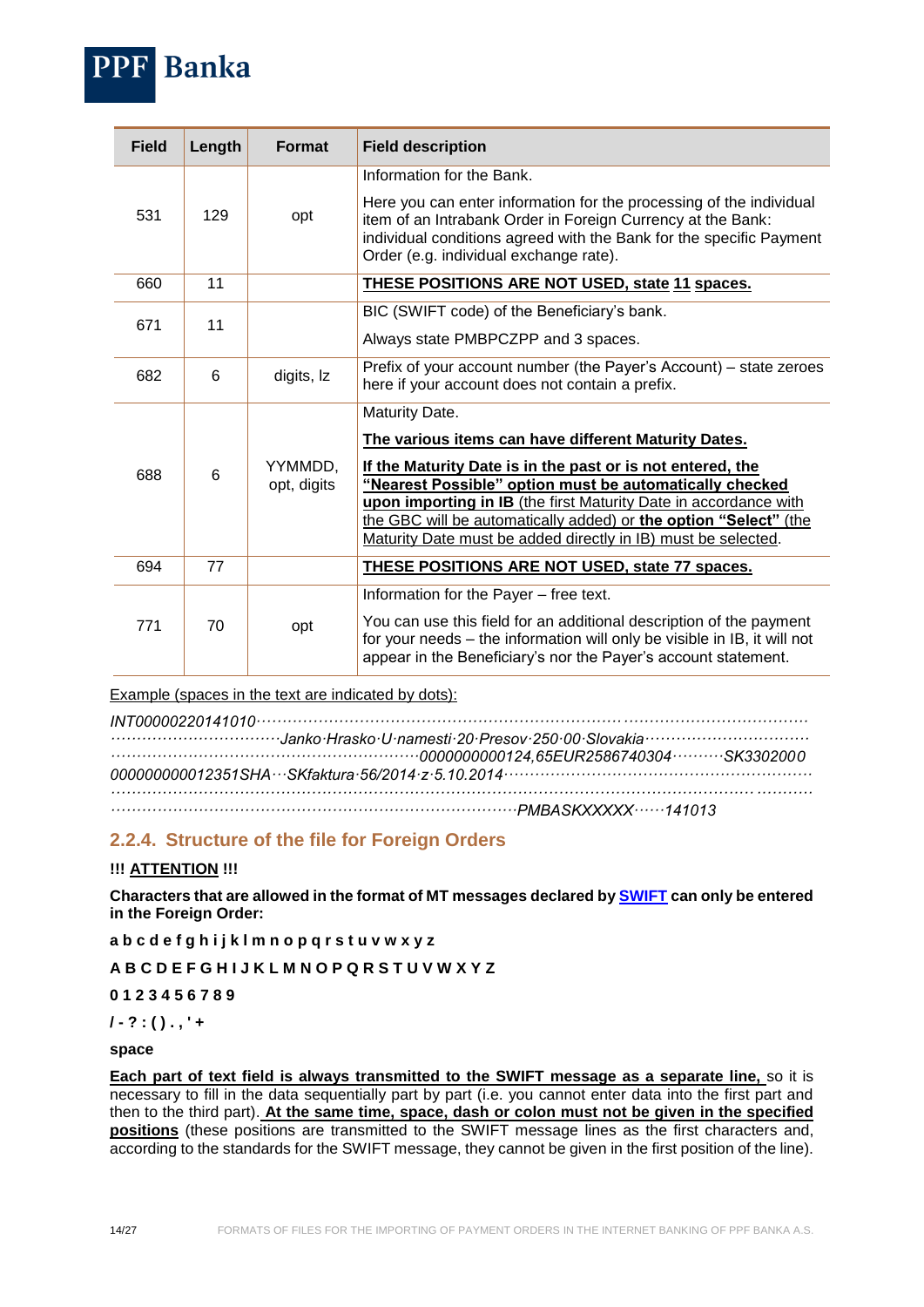

Example (spaces in the text are indicated by dots):

## <span id="page-13-0"></span>**2.2.4. Structure of the file for Foreign Orders**

#### **!!! ATTENTION !!!**

**Banka** 

**Characters that are allowed in the format of MT messages declared by [SWIFT](http://www.swift.com/) can only be entered in the Foreign Order:**

**a b c d e f g h i j k l m n o p q r s t u v w x y z**

**A B C D E F G H I J K L M N O P Q R S T U V W X Y Z**

**0 1 2 3 4 5 6 7 8 9**

**/ - ? : ( ) . , ' +**

#### **space**

**Each part of text field is always transmitted to the SWIFT message as a separate line,** so it is necessary to fill in the data sequentially part by part (i.e. you cannot enter data into the first part and then to the third part). **At the same time, space, dash or colon must not be given in the specified positions** (these positions are transmitted to the SWIFT message lines as the first characters and, according to the standards for the SWIFT message, they cannot be given in the first position of the line).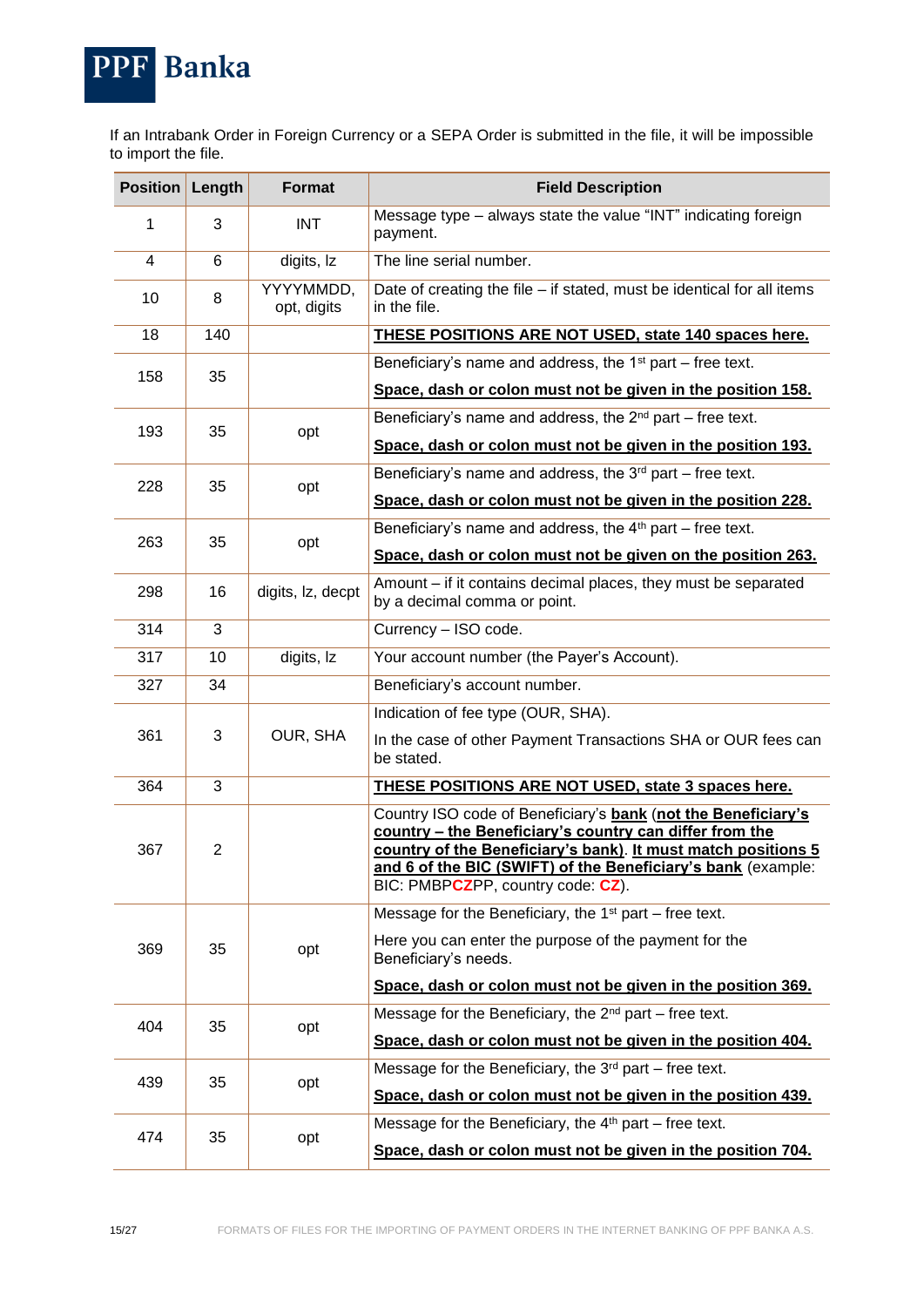

If an Intrabank Order in Foreign Currency or a SEPA Order is submitted in the file, it will be impossible to import the file.

| <b>Position</b> | Length         | <b>Format</b>            | <b>Field Description</b>                                                                                                                                                                                                                                                                       |                                                             |
|-----------------|----------------|--------------------------|------------------------------------------------------------------------------------------------------------------------------------------------------------------------------------------------------------------------------------------------------------------------------------------------|-------------------------------------------------------------|
| 1               | 3              | <b>INT</b>               | Message type - always state the value "INT" indicating foreign<br>payment.                                                                                                                                                                                                                     |                                                             |
| 4               | 6              | digits, Iz               | The line serial number.                                                                                                                                                                                                                                                                        |                                                             |
| 10              | 8              | YYYYMMDD,<br>opt, digits | Date of creating the file - if stated, must be identical for all items<br>in the file.                                                                                                                                                                                                         |                                                             |
| 18              | 140            |                          | <b>THESE POSITIONS ARE NOT USED, state 140 spaces here.</b>                                                                                                                                                                                                                                    |                                                             |
| 158             | 35             |                          | Beneficiary's name and address, the $1st$ part – free text.                                                                                                                                                                                                                                    |                                                             |
|                 |                |                          | Space, dash or colon must not be given in the position 158.                                                                                                                                                                                                                                    |                                                             |
| 193             | 35             |                          | Beneficiary's name and address, the $2^{nd}$ part – free text.                                                                                                                                                                                                                                 |                                                             |
|                 |                | opt                      | Space, dash or colon must not be given in the position 193.                                                                                                                                                                                                                                    |                                                             |
| 228             | 35             |                          | Beneficiary's name and address, the $3^{rd}$ part – free text.                                                                                                                                                                                                                                 |                                                             |
|                 |                | opt                      | Space, dash or colon must not be given in the position 228.                                                                                                                                                                                                                                    |                                                             |
|                 |                |                          | Beneficiary's name and address, the $4th$ part – free text.                                                                                                                                                                                                                                    |                                                             |
| 263             | 35             | opt                      | Space, dash or colon must not be given on the position 263.                                                                                                                                                                                                                                    |                                                             |
| 298             | 16             | digits, Iz, decpt        | Amount – if it contains decimal places, they must be separated<br>by a decimal comma or point.                                                                                                                                                                                                 |                                                             |
| 314             | 3              |                          | Currency - ISO code.                                                                                                                                                                                                                                                                           |                                                             |
| 317             | 10             | digits, Iz               | Your account number (the Payer's Account).                                                                                                                                                                                                                                                     |                                                             |
| 327             | 34             |                          | Beneficiary's account number.                                                                                                                                                                                                                                                                  |                                                             |
|                 |                |                          | Indication of fee type (OUR, SHA).                                                                                                                                                                                                                                                             |                                                             |
| 361             | 3              | OUR, SHA                 | In the case of other Payment Transactions SHA or OUR fees can<br>be stated.                                                                                                                                                                                                                    |                                                             |
| 364             | 3              |                          | THESE POSITIONS ARE NOT USED, state 3 spaces here.                                                                                                                                                                                                                                             |                                                             |
| 367             | $\overline{2}$ |                          | Country ISO code of Beneficiary's bank (not the Beneficiary's<br>country - the Beneficiary's country can differ from the<br>country of the Beneficiary's bank). It must match positions 5<br>and 6 of the BIC (SWIFT) of the Beneficiary's bank (example:<br>BIC: PMBPCZPP, country code: CZ). |                                                             |
|                 |                |                          | Message for the Beneficiary, the $1st$ part – free text.                                                                                                                                                                                                                                       |                                                             |
| 369             | 35             | opt                      | Here you can enter the purpose of the payment for the<br>Beneficiary's needs.                                                                                                                                                                                                                  |                                                             |
|                 |                |                          | Space, dash or colon must not be given in the position 369.                                                                                                                                                                                                                                    |                                                             |
| 404             | 35             |                          | Message for the Beneficiary, the $2^{nd}$ part – free text.                                                                                                                                                                                                                                    |                                                             |
|                 |                | opt                      | Space, dash or colon must not be given in the position 404.                                                                                                                                                                                                                                    |                                                             |
|                 | 35             |                          | Message for the Beneficiary, the $3rd$ part – free text.                                                                                                                                                                                                                                       |                                                             |
| 439             |                | opt                      | Space, dash or colon must not be given in the position 439.                                                                                                                                                                                                                                    |                                                             |
|                 |                |                          | Message for the Beneficiary, the $4th$ part – free text.                                                                                                                                                                                                                                       |                                                             |
| 474             |                |                          | 35<br>opt                                                                                                                                                                                                                                                                                      | Space, dash or colon must not be given in the position 704. |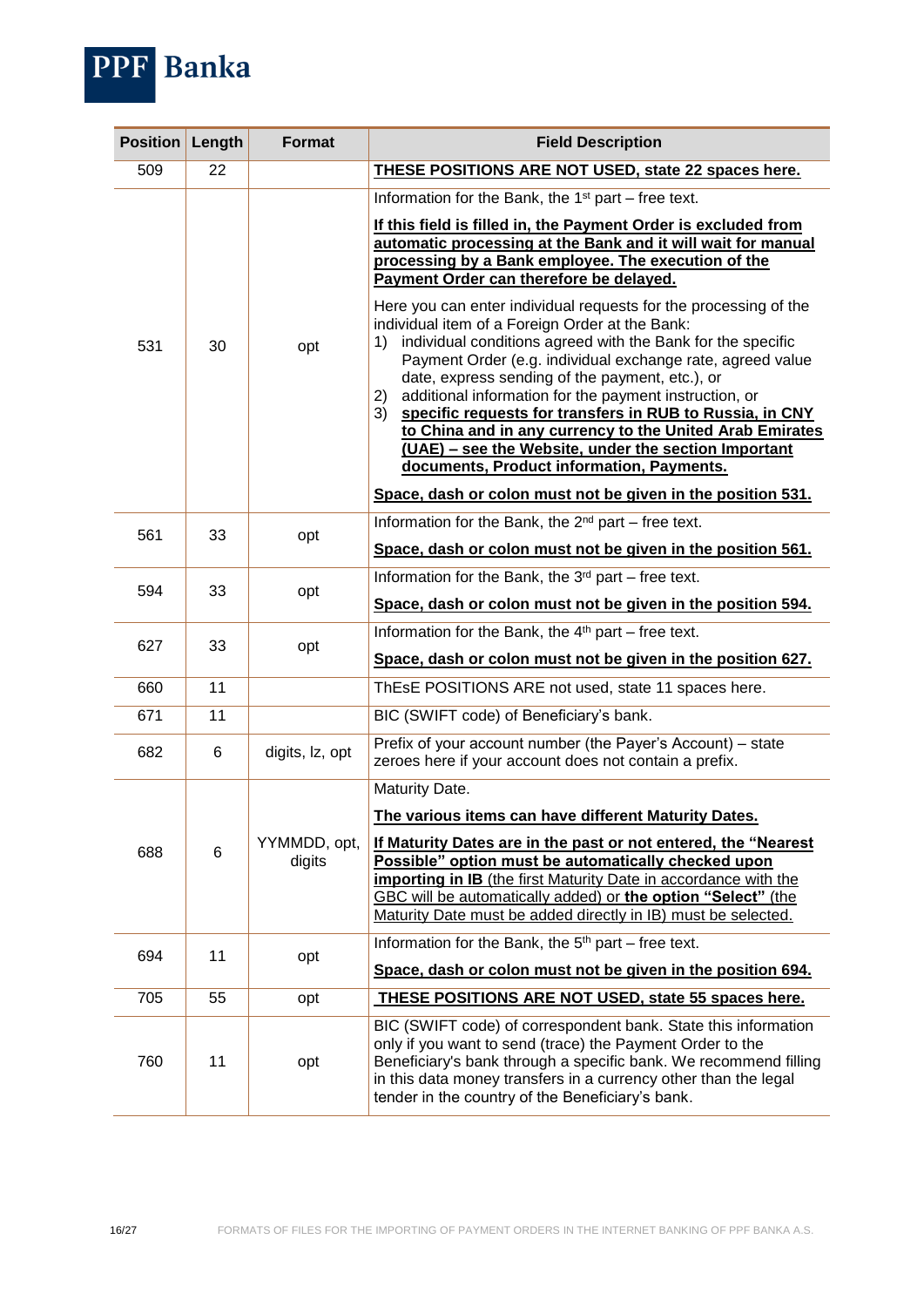

| <b>Position</b> | Length | <b>Format</b>          | <b>Field Description</b>                                                                                                                                                                                                                                                                                                                                                                                                                                                                                                                                                                                  |
|-----------------|--------|------------------------|-----------------------------------------------------------------------------------------------------------------------------------------------------------------------------------------------------------------------------------------------------------------------------------------------------------------------------------------------------------------------------------------------------------------------------------------------------------------------------------------------------------------------------------------------------------------------------------------------------------|
| 509             | 22     |                        | THESE POSITIONS ARE NOT USED, state 22 spaces here.                                                                                                                                                                                                                                                                                                                                                                                                                                                                                                                                                       |
|                 |        |                        | Information for the Bank, the $1st$ part – free text.                                                                                                                                                                                                                                                                                                                                                                                                                                                                                                                                                     |
|                 |        |                        | If this field is filled in, the Payment Order is excluded from<br>automatic processing at the Bank and it will wait for manual<br>processing by a Bank employee. The execution of the<br>Payment Order can therefore be delayed.                                                                                                                                                                                                                                                                                                                                                                          |
| 531             | 30     | opt                    | Here you can enter individual requests for the processing of the<br>individual item of a Foreign Order at the Bank:<br>1) individual conditions agreed with the Bank for the specific<br>Payment Order (e.g. individual exchange rate, agreed value<br>date, express sending of the payment, etc.), or<br>additional information for the payment instruction, or<br>2)<br>specific requests for transfers in RUB to Russia, in CNY<br>3)<br>to China and in any currency to the United Arab Emirates<br>(UAE) - see the Website, under the section Important<br>documents, Product information, Payments. |
|                 |        |                        | Space, dash or colon must not be given in the position 531.                                                                                                                                                                                                                                                                                                                                                                                                                                                                                                                                               |
| 561             | 33     | opt                    | Information for the Bank, the $2^{nd}$ part – free text.                                                                                                                                                                                                                                                                                                                                                                                                                                                                                                                                                  |
|                 |        |                        | Space, dash or colon must not be given in the position 561.                                                                                                                                                                                                                                                                                                                                                                                                                                                                                                                                               |
| 594             | 33     | opt                    | Information for the Bank, the 3 <sup>rd</sup> part – free text.                                                                                                                                                                                                                                                                                                                                                                                                                                                                                                                                           |
|                 |        |                        | Space, dash or colon must not be given in the position 594.                                                                                                                                                                                                                                                                                                                                                                                                                                                                                                                                               |
| 627             | 33     | opt                    | Information for the Bank, the 4 <sup>th</sup> part – free text.                                                                                                                                                                                                                                                                                                                                                                                                                                                                                                                                           |
|                 |        |                        | Space, dash or colon must not be given in the position 627.                                                                                                                                                                                                                                                                                                                                                                                                                                                                                                                                               |
| 660             | 11     |                        | ThEsE POSITIONS ARE not used, state 11 spaces here.                                                                                                                                                                                                                                                                                                                                                                                                                                                                                                                                                       |
| 671             | 11     |                        | BIC (SWIFT code) of Beneficiary's bank.                                                                                                                                                                                                                                                                                                                                                                                                                                                                                                                                                                   |
| 682             | 6      | digits, lz, opt        | Prefix of your account number (the Payer's Account) - state<br>zeroes here if your account does not contain a prefix.                                                                                                                                                                                                                                                                                                                                                                                                                                                                                     |
|                 |        |                        | Maturity Date.                                                                                                                                                                                                                                                                                                                                                                                                                                                                                                                                                                                            |
|                 |        |                        | The various items can have different Maturity Dates.                                                                                                                                                                                                                                                                                                                                                                                                                                                                                                                                                      |
| 688             | 6      | YYMMDD, opt,<br>digits | If Maturity Dates are in the past or not entered, the "Nearest"<br>Possible" option must be automatically checked upon<br>importing in IB (the first Maturity Date in accordance with the<br>GBC will be automatically added) or the option "Select" (the<br>Maturity Date must be added directly in IB) must be selected.                                                                                                                                                                                                                                                                                |
|                 |        |                        | Information for the Bank, the $5th$ part – free text.                                                                                                                                                                                                                                                                                                                                                                                                                                                                                                                                                     |
| 694             | 11     | opt                    | Space, dash or colon must not be given in the position 694.                                                                                                                                                                                                                                                                                                                                                                                                                                                                                                                                               |
| 705             | 55     | opt                    | THESE POSITIONS ARE NOT USED, state 55 spaces here.                                                                                                                                                                                                                                                                                                                                                                                                                                                                                                                                                       |
| 760             | 11     | opt                    | BIC (SWIFT code) of correspondent bank. State this information<br>only if you want to send (trace) the Payment Order to the<br>Beneficiary's bank through a specific bank. We recommend filling<br>in this data money transfers in a currency other than the legal<br>tender in the country of the Beneficiary's bank.                                                                                                                                                                                                                                                                                    |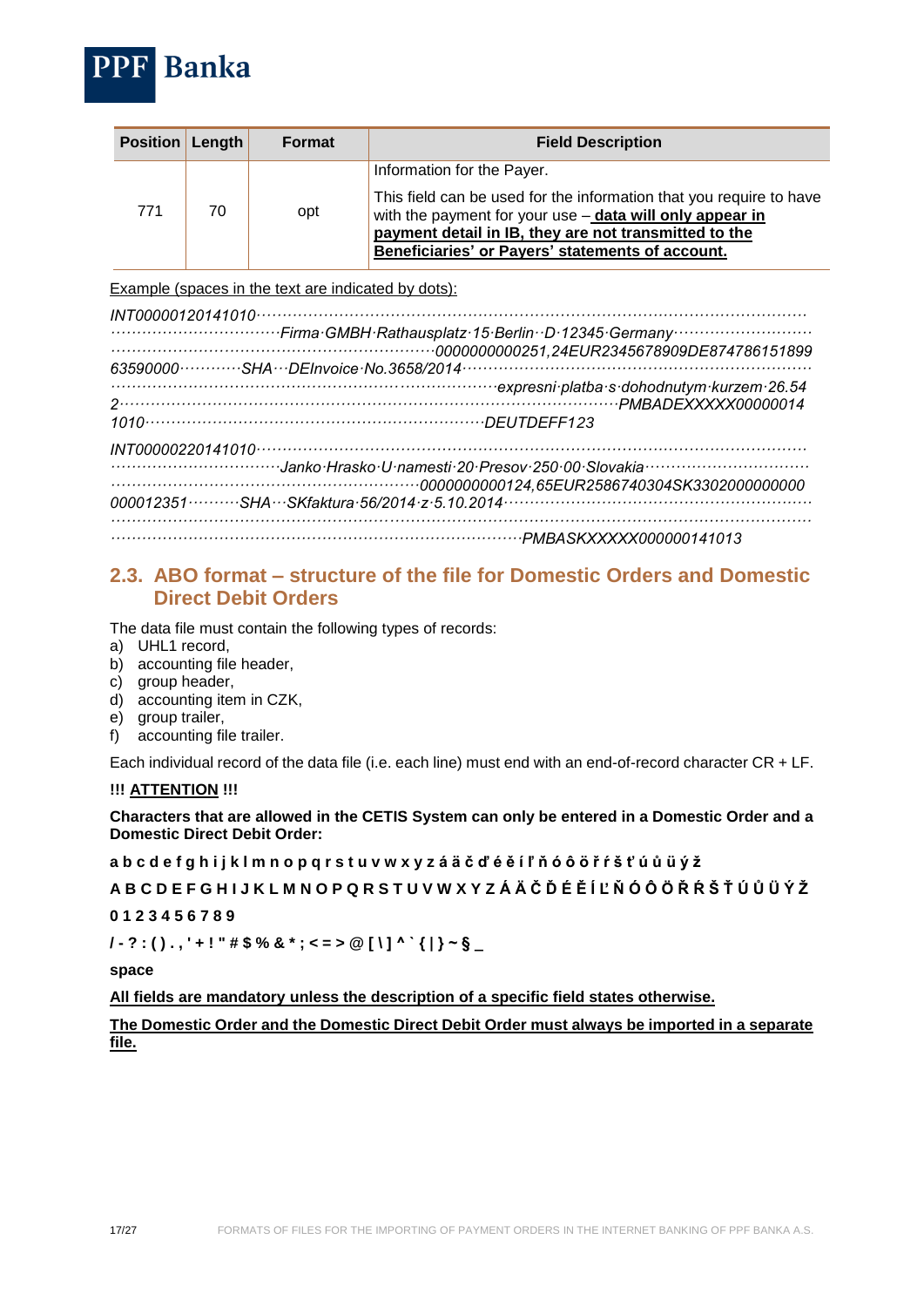

| <b>Position Length</b> |    | <b>Format</b> | <b>Field Description</b>                                                                                                                                                                                                                                                   |
|------------------------|----|---------------|----------------------------------------------------------------------------------------------------------------------------------------------------------------------------------------------------------------------------------------------------------------------------|
| 771                    | 70 | opt           | Information for the Payer.<br>This field can be used for the information that you require to have<br>with the payment for your use - data will only appear in<br>payment detail in IB, they are not transmitted to the<br>Beneficiaries' or Payers' statements of account. |

Example (spaces in the text are indicated by dots):

| expresni platba s dohodnutym kurzem 26.54 |
|-------------------------------------------|
|                                           |
|                                           |
|                                           |
|                                           |
|                                           |
|                                           |
|                                           |

## <span id="page-16-0"></span>**2.3. ABO format** *–* **structure of the file for Domestic Orders and Domestic Direct Debit Orders**

The data file must contain the following types of records:

- a) UHL1 record,
- b) accounting file header,
- c) group header,
- d) accounting item in CZK,
- e) group trailer,
- f) accounting file trailer.

Each individual record of the data file (i.e. each line) must end with an end-of-record character CR + LF.

#### **!!! ATTENTION !!!**

**Characters that are allowed in the CETIS System can only be entered in a Domestic Order and a Domestic Direct Debit Order:**

**a b c d e f g h i j k l m n o p q r s t u v w x y z á ä č ď é ě í ľ ň ó ô ö ř ŕ š ť ú ů ü ý ž**

**A B C D E F G H I J K L M N O P Q R S T U V W X Y Z Á Ä Č Ď É Ě Í Ľ Ň Ó Ô Ö Ř Ŕ Š Ť Ú Ů Ü Ý Ž**

#### **0 1 2 3 4 5 6 7 8 9**

**/ - ? : ( ) . , ' + ! " # \$ % & \* ; < = > @ [ \ ] ^ ` { | } ~ § \_**

**space**

**All fields are mandatory unless the description of a specific field states otherwise.** 

**The Domestic Order and the Domestic Direct Debit Order must always be imported in a separate file.**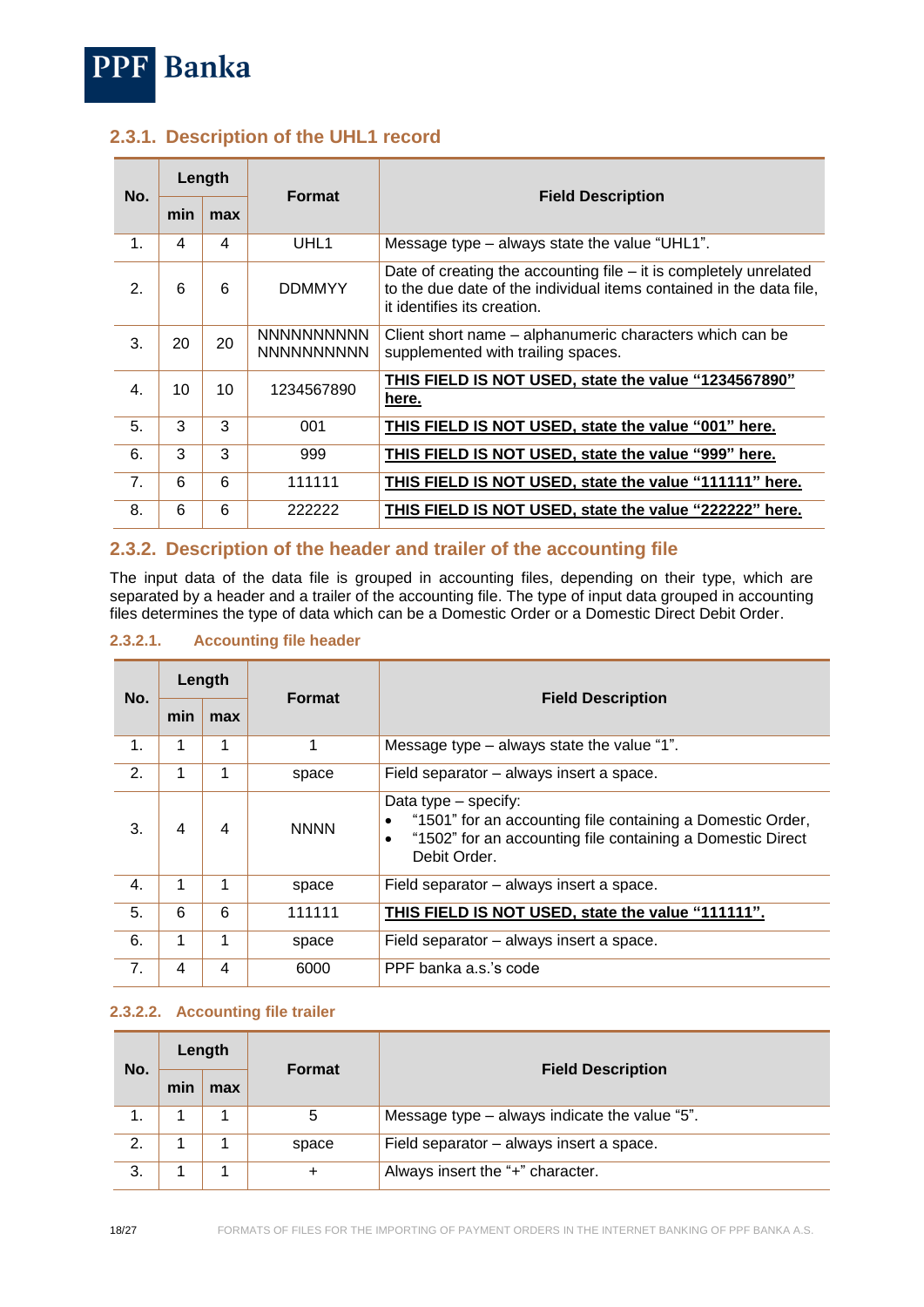

## <span id="page-17-0"></span>**2.3.1. Description of the UHL1 record**

| No.              |     | Length | <b>Format</b>                          |                                                                                                                                                                           |
|------------------|-----|--------|----------------------------------------|---------------------------------------------------------------------------------------------------------------------------------------------------------------------------|
|                  | min | max    |                                        | <b>Field Description</b>                                                                                                                                                  |
| 1.               | 4   | 4      | UHL <sub>1</sub>                       | Message type – always state the value "UHL1".                                                                                                                             |
| 2.               | 6   | 6      | <b>DDMMYY</b>                          | Date of creating the accounting file $-$ it is completely unrelated<br>to the due date of the individual items contained in the data file,<br>it identifies its creation. |
| 3.               | 20  | 20     | <b>NNNNNNNNNN</b><br><b>NNNNNNNNNN</b> | Client short name – alphanumeric characters which can be<br>supplemented with trailing spaces.                                                                            |
| $\overline{4}$ . | 10  | 10     | 1234567890                             | THIS FIELD IS NOT USED, state the value "1234567890"<br>here.                                                                                                             |
| 5.               | 3   | 3      | 001                                    | THIS FIELD IS NOT USED, state the value "001" here.                                                                                                                       |
| 6.               | 3   | 3      | 999                                    | THIS FIELD IS NOT USED, state the value "999" here.                                                                                                                       |
| 7 <sub>1</sub>   | 6   | 6      | 111111                                 | THIS FIELD IS NOT USED, state the value "111111" here.                                                                                                                    |
| 8.               | 6   | 6      | 222222                                 | THIS FIELD IS NOT USED, state the value "222222" here.                                                                                                                    |

## <span id="page-17-1"></span>**2.3.2. Description of the header and trailer of the accounting file**

The input data of the data file is grouped in accounting files, depending on their type, which are separated by a header and a trailer of the accounting file. The type of input data grouped in accounting files determines the type of data which can be a Domestic Order or a Domestic Direct Debit Order.

#### <span id="page-17-2"></span>**2.3.2.1. Accounting file header**

| No. | Length |     |               |                                                                                                                                                                               |
|-----|--------|-----|---------------|-------------------------------------------------------------------------------------------------------------------------------------------------------------------------------|
|     | min    | max | <b>Format</b> | <b>Field Description</b>                                                                                                                                                      |
| 1.  | 1      | 1   | 1             | Message type - always state the value "1".                                                                                                                                    |
| 2.  | 1      | 1   | space         | Field separator – always insert a space.                                                                                                                                      |
| 3.  | 4      | 4   | <b>NNNN</b>   | Data type - specify:<br>"1501" for an accounting file containing a Domestic Order,<br>"1502" for an accounting file containing a Domestic Direct<br>$\bullet$<br>Debit Order. |
| 4.  |        | 1   | space         | Field separator – always insert a space.                                                                                                                                      |
| 5.  | 6      | 6   | 111111        | THIS FIELD IS NOT USED, state the value "111111".                                                                                                                             |
| 6.  | 1      | 1   | space         | Field separator – always insert a space.                                                                                                                                      |
| 7.  | 4      | 4   | 6000          | PPF banka a.s.'s code                                                                                                                                                         |

#### <span id="page-17-3"></span>**2.3.2.2. Accounting file trailer**

| No. | Length |     |               |                                               |
|-----|--------|-----|---------------|-----------------------------------------------|
|     | min    | max | <b>Format</b> | <b>Field Description</b>                      |
| 1.  |        |     | 5             | Message type - always indicate the value "5". |
| 2.  |        |     | space         | Field separator - always insert a space.      |
| 3.  |        |     | $\ddot{}$     | Always insert the "+" character.              |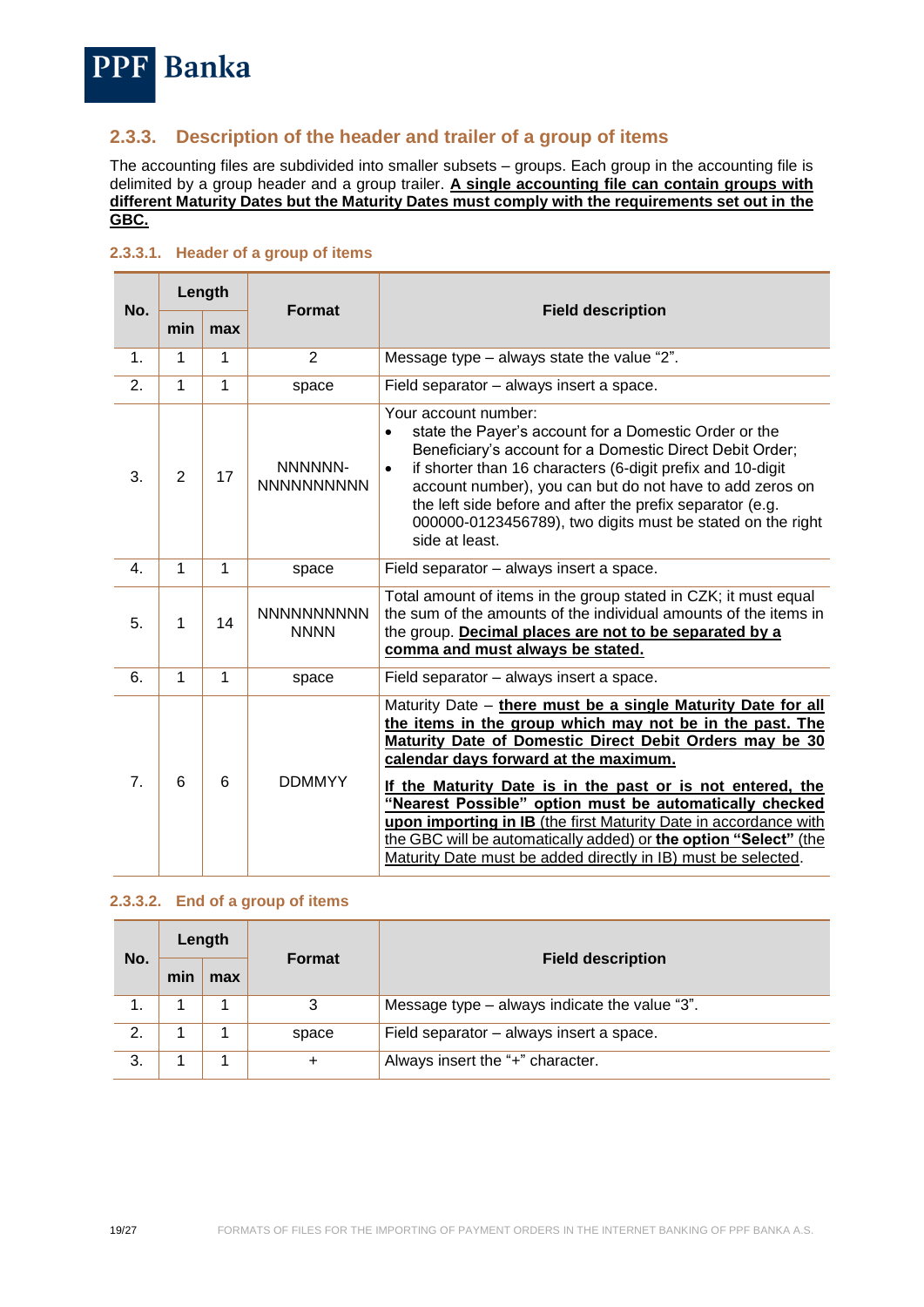# **PPF** Banka

## <span id="page-18-0"></span>**2.3.3. Description of the header and trailer of a group of items**

The accounting files are subdivided into smaller subsets – groups. Each group in the accounting file is delimited by a group header and a group trailer. **A single accounting file can contain groups with different Maturity Dates but the Maturity Dates must comply with the requirements set out in the GBC.**

| No.            | Length |     | <b>Format</b>                    |                                                                                                                                                                                                                                                                                                                                                                                                                                                                                                                                                                |
|----------------|--------|-----|----------------------------------|----------------------------------------------------------------------------------------------------------------------------------------------------------------------------------------------------------------------------------------------------------------------------------------------------------------------------------------------------------------------------------------------------------------------------------------------------------------------------------------------------------------------------------------------------------------|
|                | min    | max |                                  | <b>Field description</b>                                                                                                                                                                                                                                                                                                                                                                                                                                                                                                                                       |
| $\mathbf{1}$ . | 1      | 1   | 2                                | Message type $-$ always state the value "2".                                                                                                                                                                                                                                                                                                                                                                                                                                                                                                                   |
| 2.             | 1      | 1   | space                            | Field separator – always insert a space.                                                                                                                                                                                                                                                                                                                                                                                                                                                                                                                       |
| 3.             | 2      | 17  | NNNNNN-<br><b>NNNNNNNNNN</b>     | Your account number:<br>state the Payer's account for a Domestic Order or the<br>$\bullet$<br>Beneficiary's account for a Domestic Direct Debit Order;<br>if shorter than 16 characters (6-digit prefix and 10-digit<br>$\bullet$<br>account number), you can but do not have to add zeros on<br>the left side before and after the prefix separator (e.g.<br>000000-0123456789), two digits must be stated on the right<br>side at least.                                                                                                                     |
| 4.             | 1      | 1   | space                            | Field separator - always insert a space.                                                                                                                                                                                                                                                                                                                                                                                                                                                                                                                       |
| 5.             | 1      | 14  | <b>NNNNNNNNNN</b><br><b>NNNN</b> | Total amount of items in the group stated in CZK; it must equal<br>the sum of the amounts of the individual amounts of the items in<br>the group. Decimal places are not to be separated by a<br>comma and must always be stated.                                                                                                                                                                                                                                                                                                                              |
| 6.             | 1      | 1   | space                            | Field separator - always insert a space.                                                                                                                                                                                                                                                                                                                                                                                                                                                                                                                       |
| 7 <sub>1</sub> | 6      | 6   | <b>DDMMYY</b>                    | Maturity Date - there must be a single Maturity Date for all<br>the items in the group which may not be in the past. The<br>Maturity Date of Domestic Direct Debit Orders may be 30<br>calendar days forward at the maximum.<br>If the Maturity Date is in the past or is not entered, the<br>"Nearest Possible" option must be automatically checked<br>upon importing in IB (the first Maturity Date in accordance with<br>the GBC will be automatically added) or the option "Select" (the<br>Maturity Date must be added directly in IB) must be selected. |

#### <span id="page-18-1"></span>**2.3.3.1. Header of a group of items**

#### <span id="page-18-2"></span>**2.3.3.2. End of a group of items**

<span id="page-18-3"></span>

| No. | Length |     | <b>Format</b> |                                               |
|-----|--------|-----|---------------|-----------------------------------------------|
|     | min    | max |               | <b>Field description</b>                      |
|     |        |     | 3             | Message type - always indicate the value "3". |
| 2.  |        |     | space         | Field separator - always insert a space.      |
| 3.  |        |     | +             | Always insert the "+" character.              |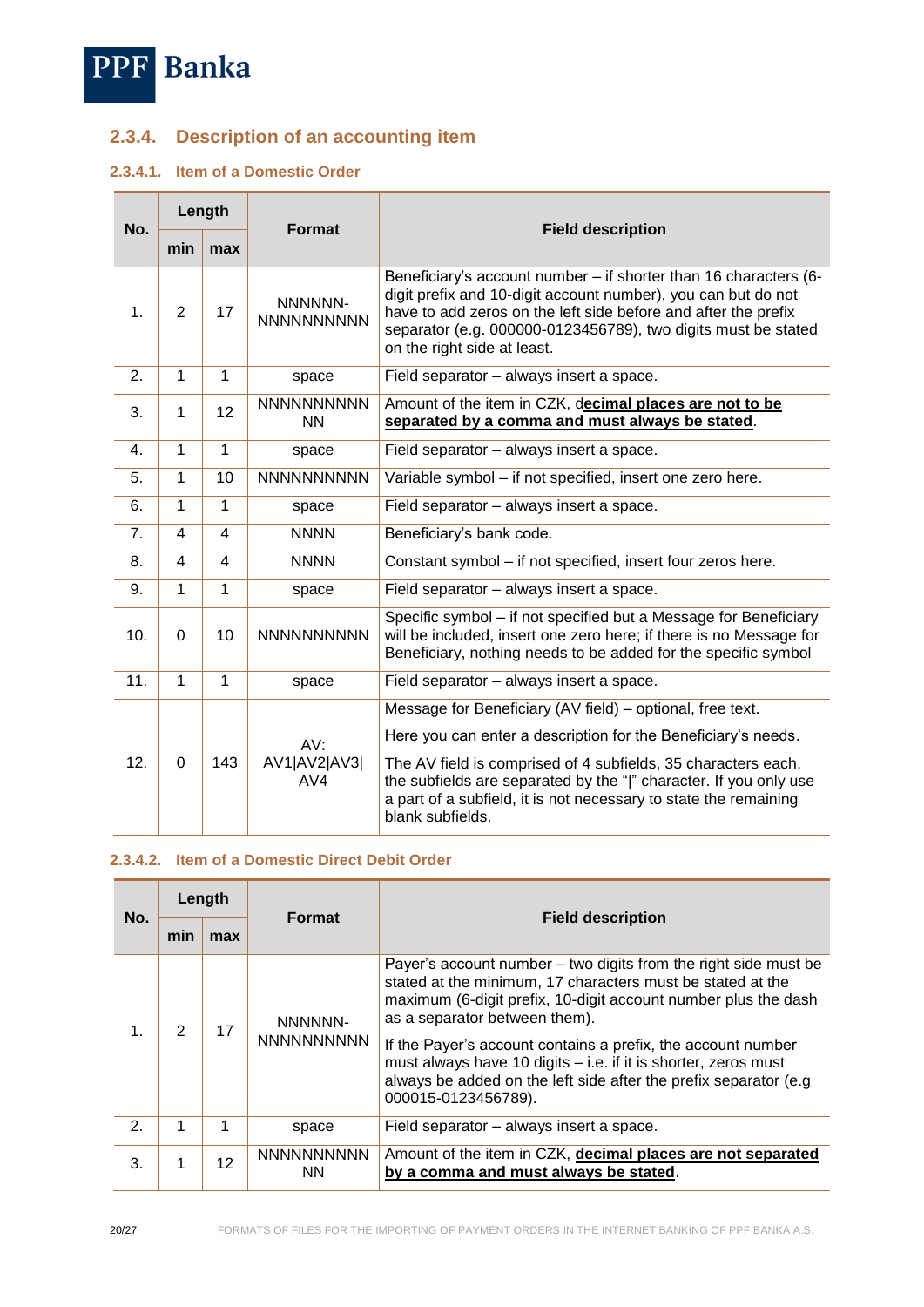

# **2.3.4. Description of an accounting item**

## <span id="page-19-0"></span>**2.3.4.1. Item of a Domestic Order**

| No. | Length       |                |                                |                                                                                                                                                                                                                                                                                                     |
|-----|--------------|----------------|--------------------------------|-----------------------------------------------------------------------------------------------------------------------------------------------------------------------------------------------------------------------------------------------------------------------------------------------------|
|     | min          | max            | <b>Format</b>                  | <b>Field description</b>                                                                                                                                                                                                                                                                            |
| 1.  | 2            | 17             | NNNNNN-<br><b>NNNNNNNNNN</b>   | Beneficiary's account number - if shorter than 16 characters (6-<br>digit prefix and 10-digit account number), you can but do not<br>have to add zeros on the left side before and after the prefix<br>separator (e.g. 000000-0123456789), two digits must be stated<br>on the right side at least. |
| 2.  | 1            | 1              | space                          | Field separator - always insert a space.                                                                                                                                                                                                                                                            |
| 3.  | 1            | 12             | <b>NNNNNNNNNN</b><br><b>NN</b> | Amount of the item in CZK, decimal places are not to be<br>separated by a comma and must always be stated.                                                                                                                                                                                          |
| 4.  | $\mathbf{1}$ | 1              | space                          | Field separator - always insert a space.                                                                                                                                                                                                                                                            |
| 5.  | $\mathbf{1}$ | 10             | <b>NNNNNNNNNN</b>              | Variable symbol - if not specified, insert one zero here.                                                                                                                                                                                                                                           |
| 6.  | $\mathbf{1}$ | $\mathbf{1}$   | space                          | Field separator - always insert a space.                                                                                                                                                                                                                                                            |
| 7.  | 4            | 4              | <b>NNNN</b>                    | Beneficiary's bank code.                                                                                                                                                                                                                                                                            |
| 8.  | 4            | $\overline{4}$ | <b>NNNN</b>                    | Constant symbol - if not specified, insert four zeros here.                                                                                                                                                                                                                                         |
| 9.  | $\mathbf{1}$ | 1              | space                          | Field separator - always insert a space.                                                                                                                                                                                                                                                            |
| 10. | 0            | 10             | <b>NNNNNNNNNN</b>              | Specific symbol - if not specified but a Message for Beneficiary<br>will be included, insert one zero here; if there is no Message for<br>Beneficiary, nothing needs to be added for the specific symbol                                                                                            |
| 11. | $\mathbf{1}$ | $\mathbf{1}$   | space                          | Field separator - always insert a space.                                                                                                                                                                                                                                                            |
| 12. | $\Omega$     | 143            | AV:<br>AV1 AV2 AV3 <br>AV4     | Message for Beneficiary (AV field) – optional, free text.                                                                                                                                                                                                                                           |
|     |              |                |                                | Here you can enter a description for the Beneficiary's needs.                                                                                                                                                                                                                                       |
|     |              |                |                                | The AV field is comprised of 4 subfields, 35 characters each,<br>the subfields are separated by the " " character. If you only use<br>a part of a subfield, it is not necessary to state the remaining<br>blank subfields.                                                                          |

#### <span id="page-19-1"></span>**2.3.4.2. Item of a Domestic Direct Debit Order**

| No.           | Length        |     | <b>Format</b>                  |                                                                                                                                                                                                                                  |
|---------------|---------------|-----|--------------------------------|----------------------------------------------------------------------------------------------------------------------------------------------------------------------------------------------------------------------------------|
|               | min           | max |                                | <b>Field description</b>                                                                                                                                                                                                         |
| 1.            | $\mathcal{P}$ | 17  | NNNNNN-<br><b>NNNNNNNNNN</b>   | Payer's account number – two digits from the right side must be<br>stated at the minimum, 17 characters must be stated at the<br>maximum (6-digit prefix, 10-digit account number plus the dash<br>as a separator between them). |
|               |               |     |                                | If the Payer's account contains a prefix, the account number<br>must always have 10 digits - i.e. if it is shorter, zeros must<br>always be added on the left side after the prefix separator (e.g.<br>000015-0123456789).       |
| $\mathcal{P}$ | 1             | 1   | space                          | Field separator – always insert a space.                                                                                                                                                                                         |
| 3.            | 1             | 12  | <b>NNNNNNNNNN</b><br><b>NN</b> | Amount of the item in CZK, decimal places are not separated<br>by a comma and must always be stated.                                                                                                                             |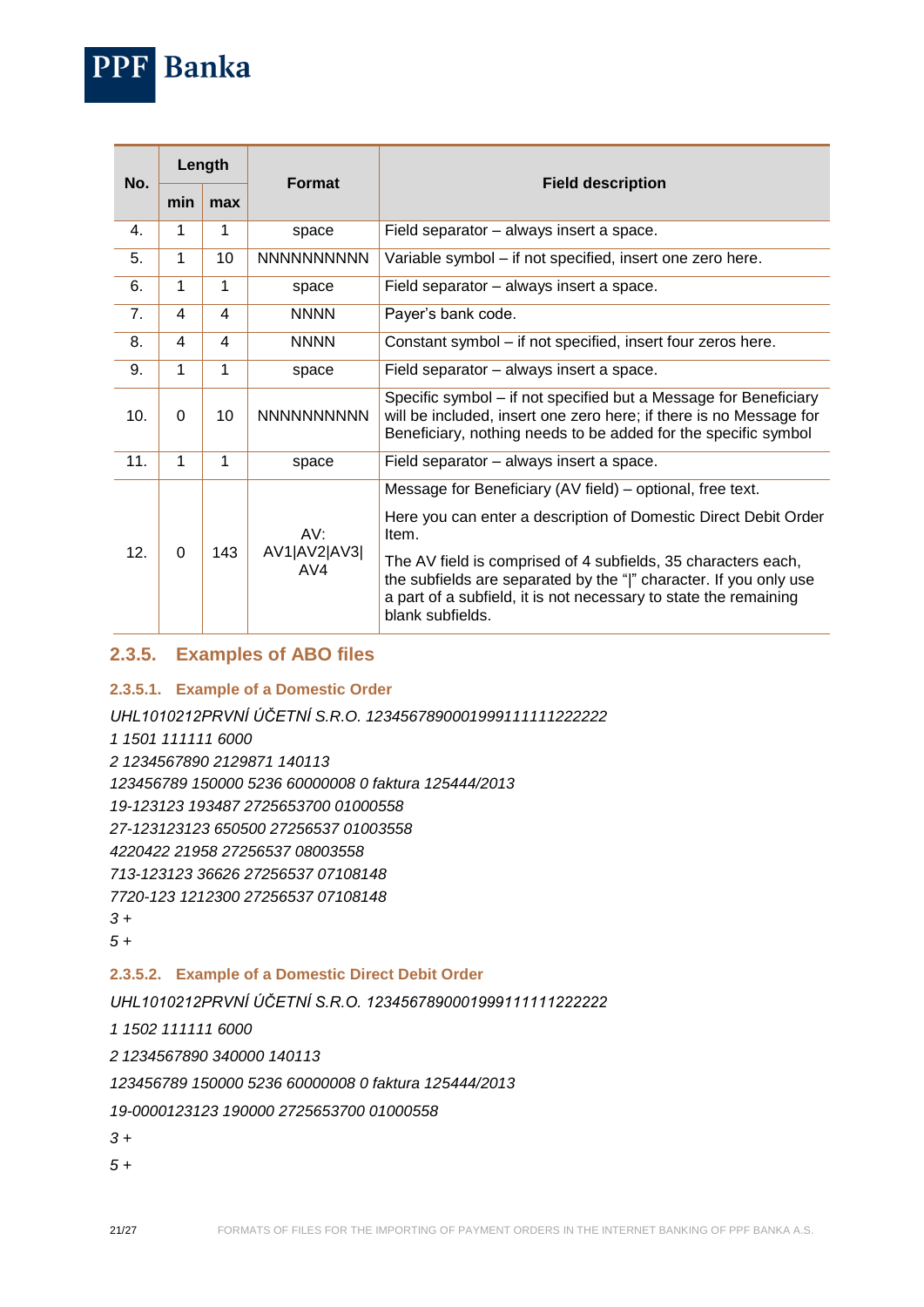

| 10. | 0 | 10  | <b>NNNNNNNNNN</b>          | will be included, insert one zero here; if there is no Message for<br>Beneficiary, nothing needs to be added for the specific symbol                                                                                       |
|-----|---|-----|----------------------------|----------------------------------------------------------------------------------------------------------------------------------------------------------------------------------------------------------------------------|
| 11. |   |     | space                      | Field separator – always insert a space.                                                                                                                                                                                   |
| 12. |   | 143 | AV.<br>AV1 AV2 AV3 <br>AV4 | Message for Beneficiary (AV field) – optional, free text.                                                                                                                                                                  |
|     |   |     |                            | Here you can enter a description of Domestic Direct Debit Order<br>Item.                                                                                                                                                   |
|     |   |     |                            | The AV field is comprised of 4 subfields, 35 characters each,<br>the subfields are separated by the " " character. If you only use<br>a part of a subfield, it is not necessary to state the remaining<br>blank subfields. |

## <span id="page-20-0"></span>**2.3.5. Examples of ABO files**

#### <span id="page-20-1"></span>**2.3.5.1. Example of a Domestic Order**

*UHL1010212PRVNÍ ÚČETNÍ S.R.O. 1234567890001999111111222222*

- *1 1501 111111 6000*
- *2 1234567890 2129871 140113*

*123456789 150000 5236 60000008 0 faktura 125444/2013*

*19-123123 193487 2725653700 01000558*

*27-123123123 650500 27256537 01003558*

*4220422 21958 27256537 08003558*

*713-123123 36626 27256537 07108148*

*7720-123 1212300 27256537 07108148*

```
3 +
```
*5 +*

#### <span id="page-20-2"></span>**2.3.5.2. Example of a Domestic Direct Debit Order**

*UHL1010212PRVNÍ ÚČETNÍ S.R.O. 1234567890001999111111222222*

*1 1502 111111 6000*

*2 1234567890 340000 140113*

*123456789 150000 5236 60000008 0 faktura 125444/2013*

*19-0000123123 190000 2725653700 01000558*

*3 +*

*5 +*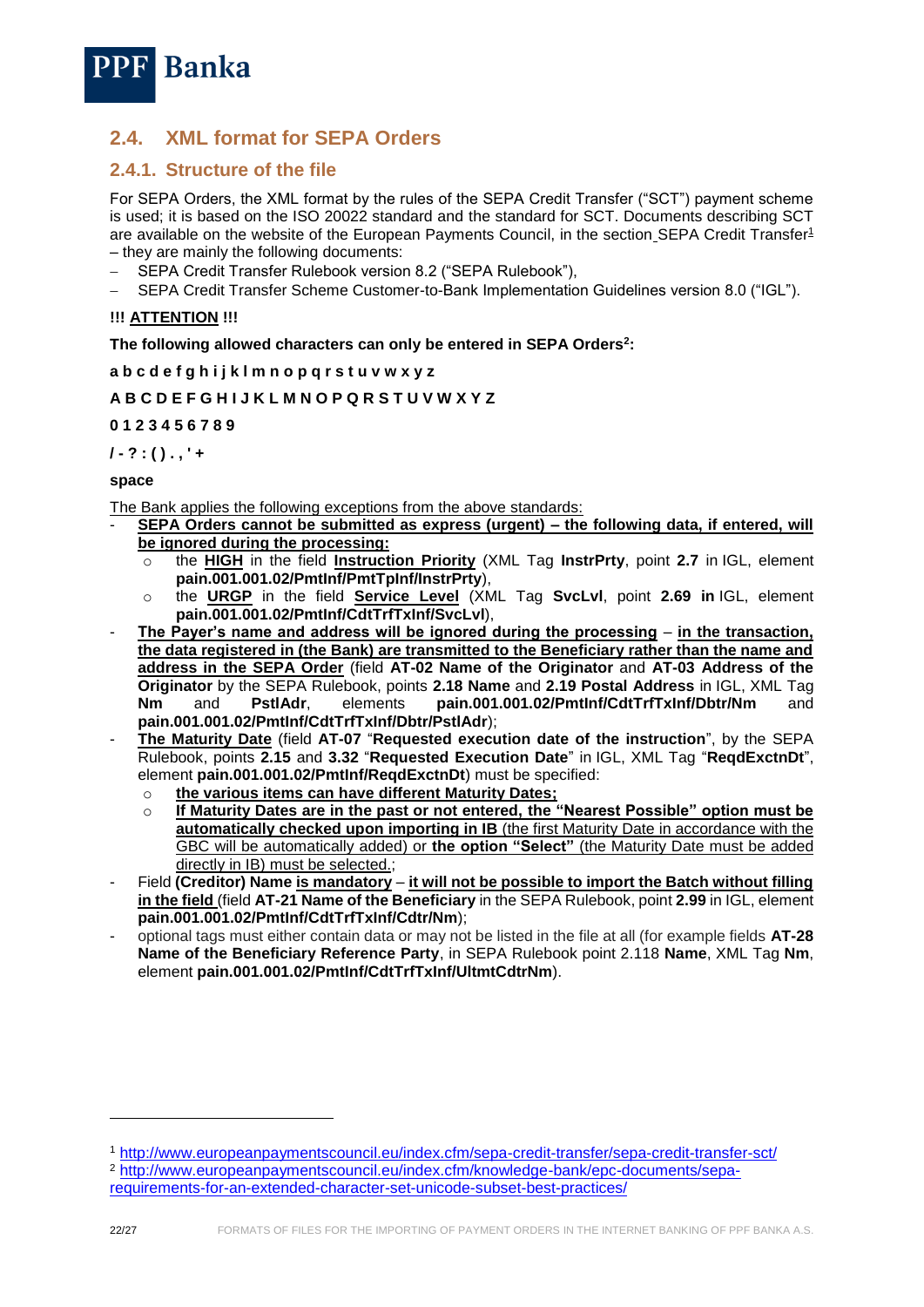

# <span id="page-21-0"></span>**2.4. XML format for SEPA Orders**

## <span id="page-21-1"></span>**2.4.1. Structure of the file**

For SEPA Orders, the XML format by the rules of the SEPA Credit Transfer ("SCT") payment scheme is used; it is based on the ISO 20022 standard and the standard for SCT. Documents describing SCT are available on the website of the European Payments Council, in the section SEPA Credit Transfer<sup>1</sup> – they are mainly the following documents:

- SEPA Credit Transfer Rulebook version 8.2 ("SEPA Rulebook"),
- SEPA Credit Transfer Scheme Customer-to-Bank Implementation Guidelines version 8.0 ("IGL").

#### **!!! ATTENTION !!!**

**The following allowed characters can only be entered in SEPA Orders<sup>2</sup> :**

**a b c d e f g h i j k l m n o p q r s t u v w x y z**

#### **A B C D E F G H I J K L M N O P Q R S T U V W X Y Z**

**0 1 2 3 4 5 6 7 8 9**

**/ - ? : ( ) . , ' +**

#### **space**

The Bank applies the following exceptions from the above standards:

- SEPA Orders cannot be submitted as express (urgent) the following data, if entered, will **be ignored during the processing:** 
	- o the **HIGH** in the field **Instruction Priority** (XML Tag **InstrPrty**, point **2.7** in IGL, element **pain.001.001.02/PmtInf/PmtTpInf/InstrPrty**),
	- o the **URGP** in the field **Service Level** (XML Tag **SvcLvl**, point **2.69 in** IGL, element **pain.001.001.02/PmtInf/CdtTrfTxInf/SvcLvl**),
- **The Payer's name and address will be ignored during the processing in the transaction, the data registered in (the Bank) are transmitted to the Beneficiary rather than the name and address in the SEPA Order** (field **AT-02 Name of the Originator** and **AT-03 Address of the Originator** by the SEPA Rulebook, points **2.18 Name** and **2.19 Postal Address** in IGL, XML Tag **Nm** and **PstlAdr**, elements **pain.001.001.02/PmtInf/CdtTrfTxInf/Dbtr/Nm** and **pain.001.001.02/PmtInf/CdtTrfTxInf/Dbtr/PstlAdr**);
- **The Maturity Date** (field **AT-07** "**Requested execution date of the instruction**", by the SEPA Rulebook, points **2.15** and **3.32** "**Requested Execution Date**" in IGL, XML Tag "**ReqdExctnDt**", element **pain.001.001.02/PmtInf/ReqdExctnDt**) must be specified:
	- o **the various items can have different Maturity Dates;**
	- o **If Maturity Dates are in the past or not entered, the "Nearest Possible" option must be automatically checked upon importing in IB** (the first Maturity Date in accordance with the GBC will be automatically added) or **the option "Select"** (the Maturity Date must be added directly in IB) must be selected.;
- Field **(Creditor) Name is mandatory it will not be possible to import the Batch without filling in the field** (field **AT-21 Name of the Beneficiary** in the SEPA Rulebook, point **2.99** in IGL, element **pain.001.001.02/PmtInf/CdtTrfTxInf/Cdtr/Nm**);
- optional tags must either contain data or may not be listed in the file at all (for example fields **AT-28 Name of the Beneficiary Reference Party**, in SEPA Rulebook point 2.118 **Name**, XML Tag **Nm**, element **pain.001.001.02/PmtInf/CdtTrfTxInf/UltmtCdtrNm**).

-

<sup>1</sup> <http://www.europeanpaymentscouncil.eu/index.cfm/sepa-credit-transfer/sepa-credit-transfer-sct/> <sup>2</sup> [http://www.europeanpaymentscouncil.eu/index.cfm/knowledge-bank/epc-documents/sepa-](http://www.europeanpaymentscouncil.eu/index.cfm/knowledge-bank/epc-documents/sepa-requirements-for-an-extended-character-set-unicode-subset-best-practices/)

[requirements-for-an-extended-character-set-unicode-subset-best-practices/](http://www.europeanpaymentscouncil.eu/index.cfm/knowledge-bank/epc-documents/sepa-requirements-for-an-extended-character-set-unicode-subset-best-practices/)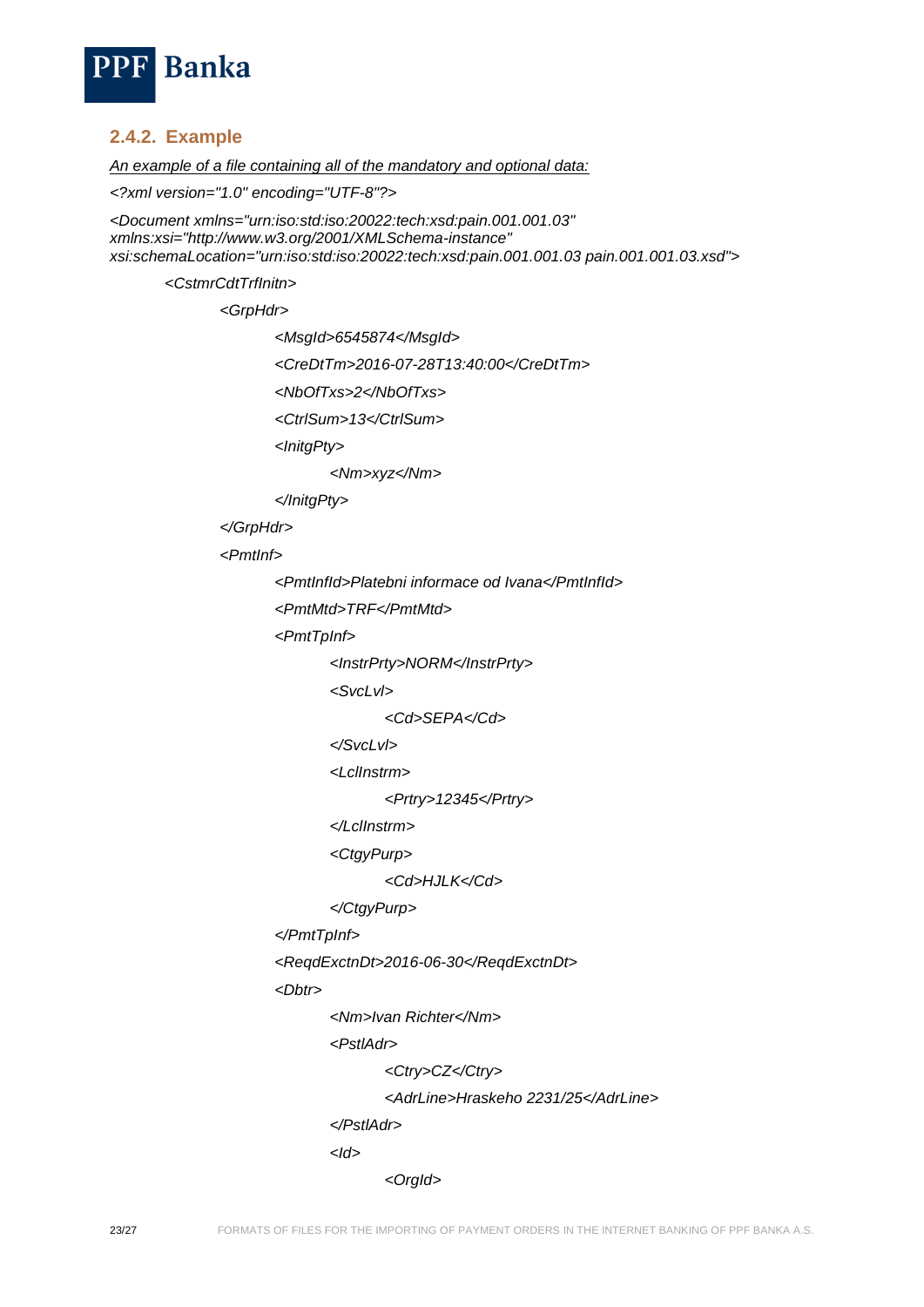

## <span id="page-22-0"></span>**2.4.2. Example**

*An example of a file containing all of the mandatory and optional data:*

*<?xml version="1.0" encoding="UTF-8"?>*

*<Document xmlns="urn:iso:std:iso:20022:tech:xsd:pain.001.001.03" xmlns:xsi="http://www.w3.org/2001/XMLSchema-instance" xsi:schemaLocation="urn:iso:std:iso:20022:tech:xsd:pain.001.001.03 pain.001.001.03.xsd">*

*<CstmrCdtTrfInitn>*

*<GrpHdr>*

*<MsgId>6545874</MsgId>*

*<CreDtTm>2016-07-28T13:40:00</CreDtTm>*

*<NbOfTxs>2</NbOfTxs>*

*<CtrlSum>13</CtrlSum>*

*<InitgPty>*

*<Nm>xyz</Nm>*

*</InitgPty>*

*</GrpHdr>*

*<PmtInf>*

*<PmtInfId>Platebni informace od Ivana</PmtInfId>*

*<PmtMtd>TRF</PmtMtd>*

*<PmtTpInf>*

*<InstrPrty>NORM</InstrPrty>*

*<SvcLvl>*

*<Cd>SEPA</Cd>*

*</SvcLvl>*

*<LclInstrm>*

*<Prtry>12345</Prtry>*

*</LclInstrm>*

*<CtgyPurp>*

*<Cd>HJLK</Cd>*

```
</CtgyPurp>
```

```
</PmtTpInf>
```
*<ReqdExctnDt>2016-06-30</ReqdExctnDt>*

*<Dbtr>*

*<Nm>Ivan Richter</Nm>*

*<PstlAdr>*

*<Ctry>CZ</Ctry>*

*<AdrLine>Hraskeho 2231/25</AdrLine>*

*</PstlAdr>*

*<Id>*

*<OrgId>*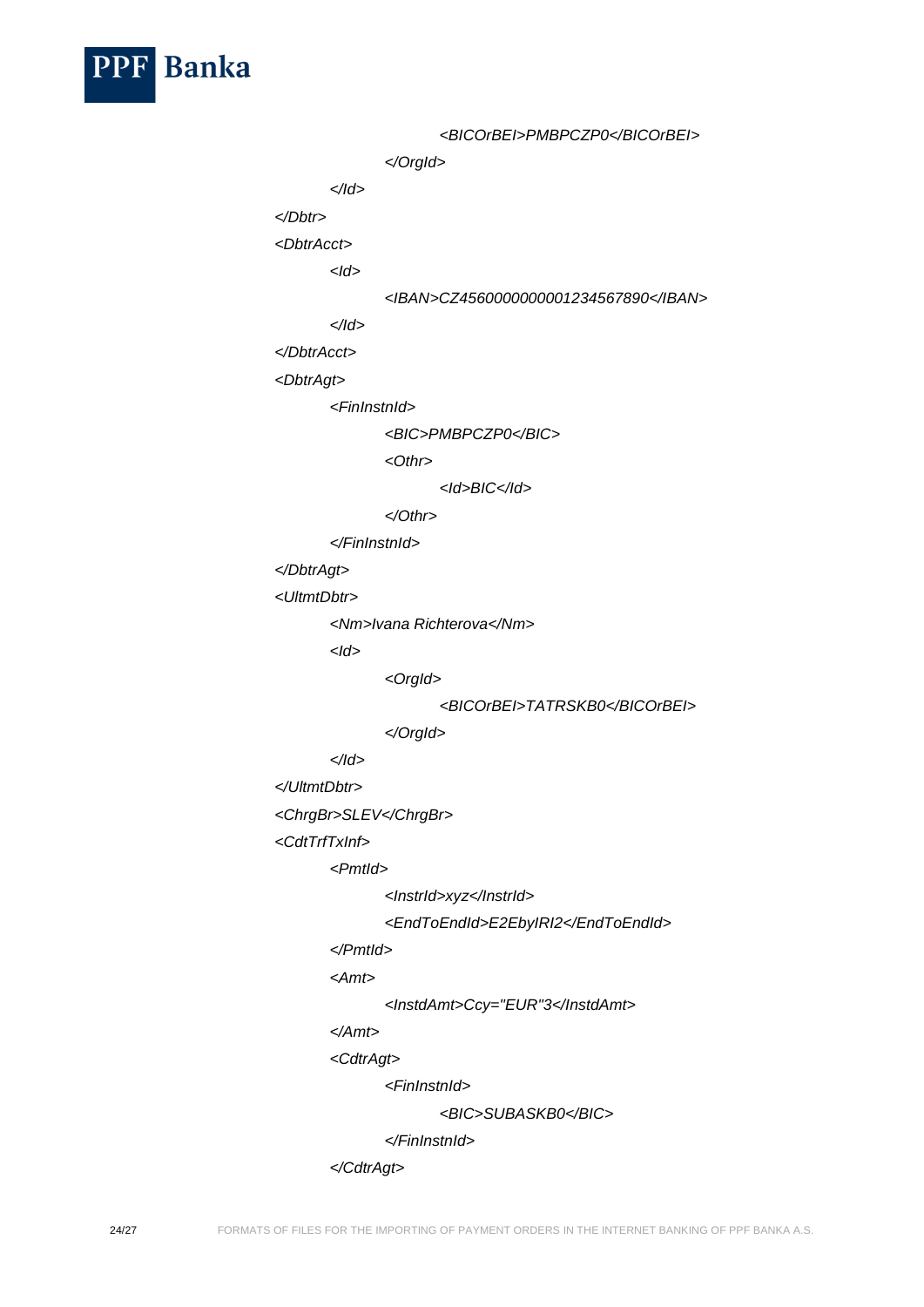

*<BICOrBEI>PMBPCZP0</BICOrBEI> </OrgId> </Id> </Dbtr> <DbtrAcct> <Id> <IBAN>CZ4560000000001234567890</IBAN> </Id> </DbtrAcct> <DbtrAgt> <FinInstnId> <BIC>PMBPCZP0</BIC> <Othr> <Id>BIC</Id> </Othr> </FinInstnId> </DbtrAgt> <UltmtDbtr> <Nm>Ivana Richterova</Nm> <Id> <OrgId> <BICOrBEI>TATRSKB0</BICOrBEI> </OrgId> </Id> </UltmtDbtr> <ChrgBr>SLEV</ChrgBr> <CdtTrfTxInf> <PmtId> <InstrId>xyz</InstrId> <EndToEndId>E2EbyIRI2</EndToEndId> </PmtId> <Amt> <InstdAmt>Ccy="EUR"3</InstdAmt> </Amt> <CdtrAgt> <FinInstnId> <BIC>SUBASKB0</BIC> </FinInstnId>*

*</CdtrAgt>*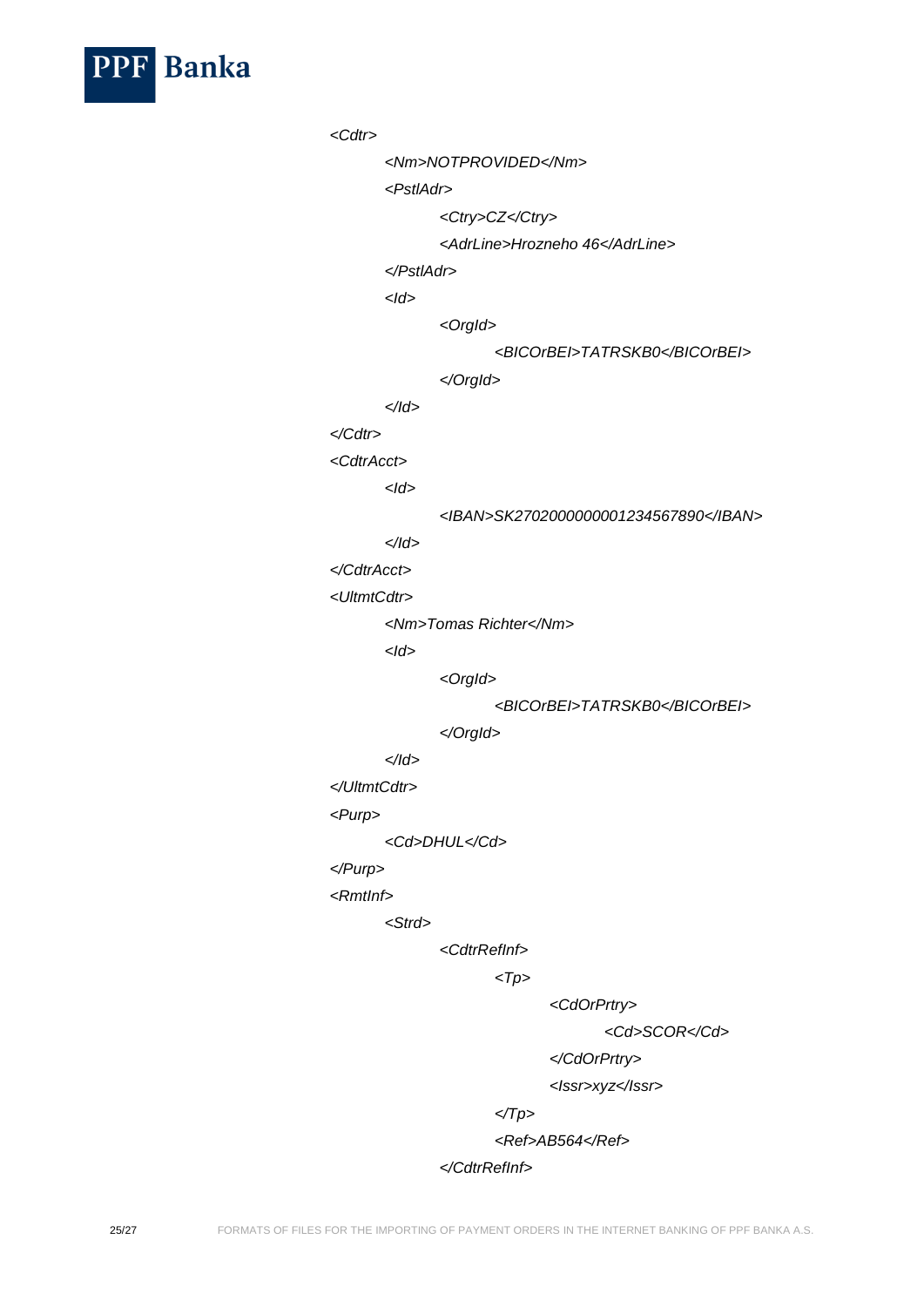

*<Cdtr> <Nm>NOTPROVIDED</Nm> <PstlAdr> <Ctry>CZ</Ctry> <AdrLine>Hrozneho 46</AdrLine> </PstlAdr> <Id> <OrgId> <BICOrBEI>TATRSKB0</BICOrBEI> </OrgId> </Id> </Cdtr> <CdtrAcct> <Id> <IBAN>SK2702000000001234567890</IBAN> </Id> </CdtrAcct> <UltmtCdtr> <Nm>Tomas Richter</Nm> <Id> <OrgId> <BICOrBEI>TATRSKB0</BICOrBEI> </OrgId> </Id> </UltmtCdtr> <Purp> <Cd>DHUL</Cd> </Purp> <RmtInf> <Strd> <CdtrRefInf> <Tp> <CdOrPrtry> <Cd>SCOR</Cd>*

*</CdOrPrtry>*

*<Issr>xyz</Issr>*

*</Tp>*

*<Ref>AB564</Ref>*

*</CdtrRefInf>*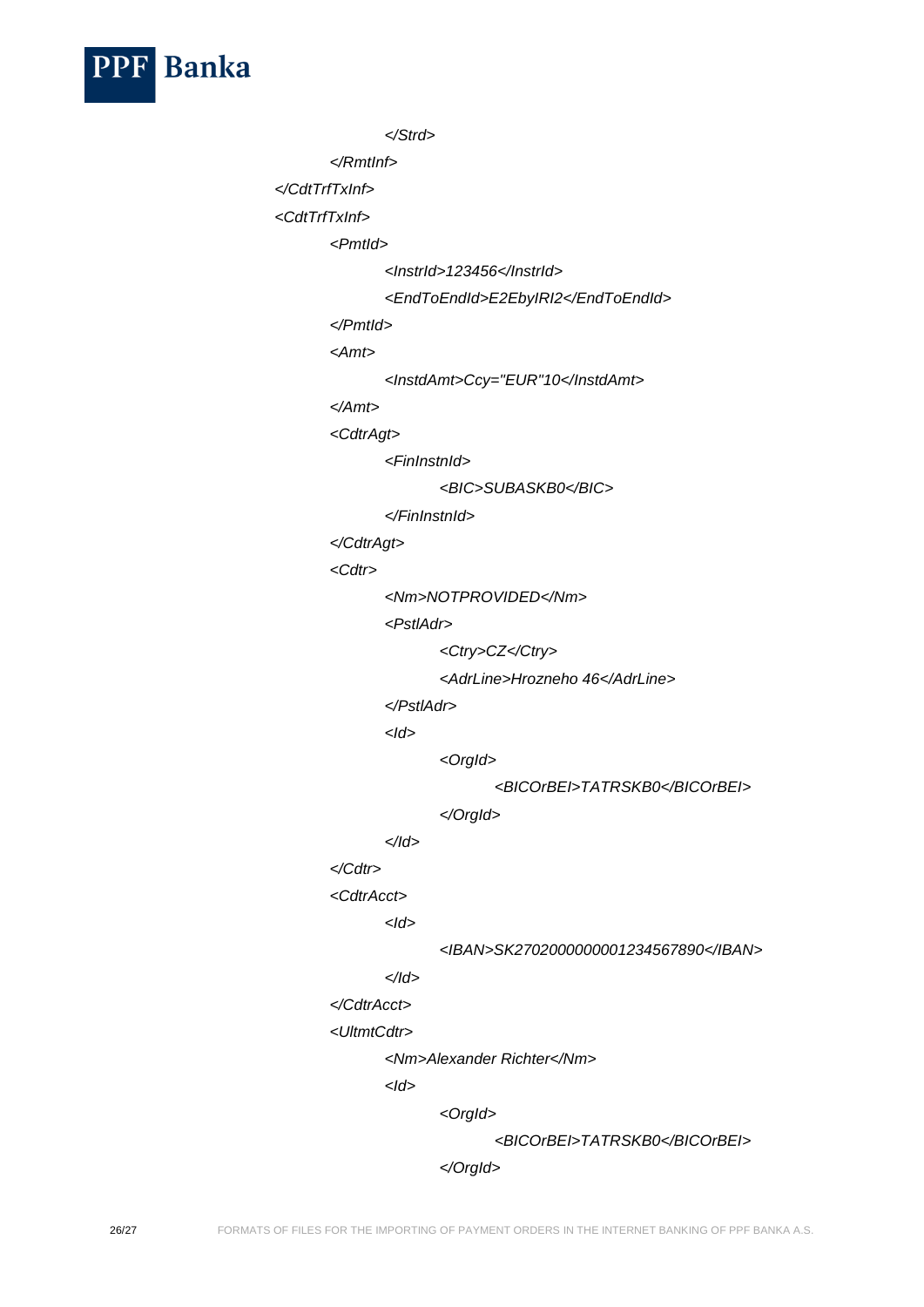

```
</Strd>
```
*</RmtInf>*

*</CdtTrfTxInf>*

*<CdtTrfTxInf>*

*<PmtId>*

*<InstrId>123456</InstrId>*

```
<EndToEndId>E2EbyIRI2</EndToEndId>
```
*</PmtId>*

*<Amt>*

*<InstdAmt>Ccy="EUR"10</InstdAmt>*

*</Amt>*

*<CdtrAgt>*

*<FinInstnId>*

```
<BIC>SUBASKB0</BIC>
```
*</FinInstnId>*

*</CdtrAgt>*

*<Cdtr>*

*<Nm>NOTPROVIDED</Nm>*

*<PstlAdr>*

*<Ctry>CZ</Ctry>*

*<AdrLine>Hrozneho 46</AdrLine>*

*</PstlAdr>*

*<Id>*

*<OrgId>*

*<BICOrBEI>TATRSKB0</BICOrBEI>*

*</OrgId>*

*</Id>*

## *</Cdtr>*

*<CdtrAcct>*

*<Id>*

*<IBAN>SK2702000000001234567890</IBAN>*

# *</Id>*

*</CdtrAcct>*

*<UltmtCdtr>*

*<Nm>Alexander Richter</Nm>*

*<Id>*

*<OrgId>*

*<BICOrBEI>TATRSKB0</BICOrBEI>*

*</OrgId>*